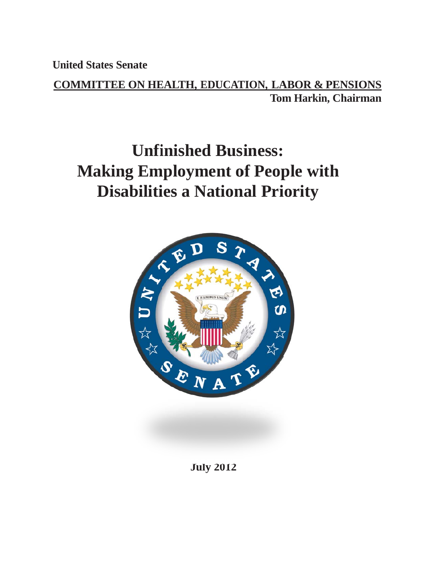**United d States S Senate**

**COMMITTEE ON HEALTH, EDUCATION, LABOR & PENSIONS Tom Harkin, Chairman** 

# **Making Employment of People with Disabilities a National Priority Unfinished Business:**



**Jul ly 2012**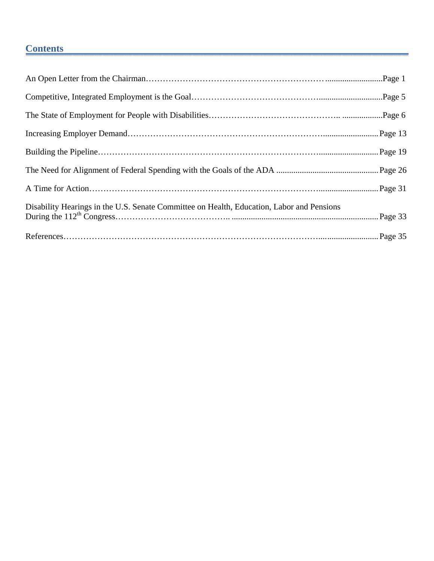# **Contents**

| Disability Hearings in the U.S. Senate Committee on Health, Education, Labor and Pensions |  |
|-------------------------------------------------------------------------------------------|--|
|                                                                                           |  |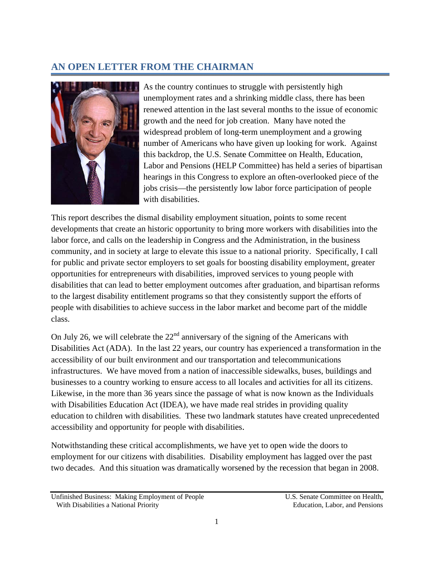## **AN OPEN LETTER FROM THE CHAIRMAN**



As the country continues to struggle with persistently high unemployment rates and a shrinking middle class, there has been unemployment rates and a shrinking middle class, there has been<br>renewed attention in the last several months to the issue of economic growth and the need for job creation. Many have noted the widespread problem of long-term unemployment and a growing number of Americans who have given up looking for work. Against this backdrop, the U.S. Senate Committee on Health, Education, Labor and Pensions (HELP Committee) has held a series of bipartisan hearings in this Congress to explore an often-overlooked piece of the jobs crisis—the persistently low labor force participation of people with d disabilities.

This report describes the dismal disability employment situation, points to some recent developments that create an historic opportunity to bring more workers with disabilities into the labor force, and calls on the leadership in Congress and the Administration, in the business community, and in society at large to elevate this issue to a national priority. Specifically, I call for public and private sector employers to set goals for boosting disability employment, greater opportunities for entrepreneurs with disabilities, improved services to young people with disabilities that can lead to better employment outcomes after graduation, and bipartisan reforms to the largest disability entitlement programs so that they consistently support the efforts of people with disabilities to achieve success in the labor market and become part of the middle class.

On July 26, we will celebrate the  $22<sup>nd</sup>$  anniversary of the signing of the Americans with people with disabilities to achieve success in the labor market and become part of the middle<br>class.<br>On July 26, we will celebrate the 22<sup>nd</sup> anniversary of the signing of the Americans with<br>Disabilities Act (ADA). In the accessibility of our built environment and our transportation and telecommunications infrastructures. We have moved from a nation of inaccessible sidewalks, buses, buildings and businesses to a country working to ensure access to all locales and activities for all its citizens. Likewise, in the more than 36 years since the passage of what is now known as the Individuals with Disabilities Education Act (IDEA), we have made real strides in providing quality education to children with disabilities. These two landmark statutes have created unprecedented accessibility and opportunity for people with disabilities.

Notwithstanding these critical accomplishments, we have yet to open wide the doors to employment for our citizens with disabilities. Disability employment has lagged over the past two decades. And this situation was dramatically worsened by the recession that began in 2008.

Unfinished Business: Making Employment of People With Disabilities a National Priority e<br> $\frac{1}{1}$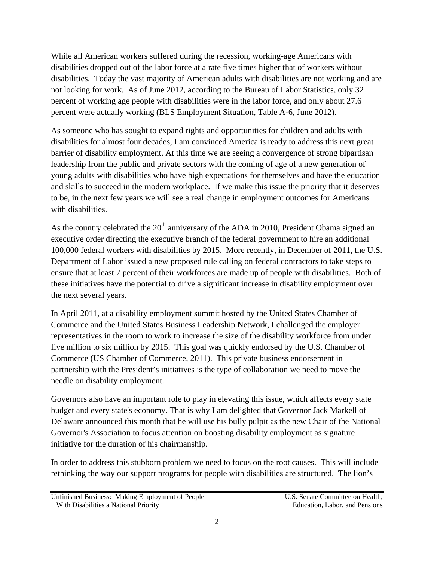While all American workers suffered during the recession, working-age Americans with disabilities dropped out of the labor force at a rate five times higher that of workers without disabilities. Today the vast majority of American adults with disabilities are not working and are not looking for work. As of June 2012, according to the Bureau of Labor Statistics, only 32 percent of working age people with disabilities were in the labor force, and only about 27.6 percent were actually working (BLS Employment Situation, Table A-6, June 2012).

As someone who has sought to expand rights and opportunities for children and adults with disabilities for almost four decades, I am convinced America is ready to address this next great barrier of disability employment. At this time we are seeing a convergence of strong bipartisan leadership from the public and private sectors with the coming of age of a new generation of young adults with disabilities who have high expectations for themselves and have the education and skills to succeed in the modern workplace. If we make this issue the priority that it deserves to be, in the next few years we will see a real change in employment outcomes for Americans with disabilities.

As the country celebrated the  $20<sup>th</sup>$  anniversary of the ADA in 2010, President Obama signed an executive order directing the executive branch of the federal government to hire an additional 100,000 federal workers with disabilities by 2015. More recently, in December of 2011, the U.S. Department of Labor issued a new proposed rule calling on federal contractors to take steps to ensure that at least 7 percent of their workforces are made up of people with disabilities. Both of these initiatives have the potential to drive a significant increase in disability employment over the next several years.

In April 2011, at a disability employment summit hosted by the United States Chamber of Commerce and the United States Business Leadership Network, I challenged the employer representatives in the room to work to increase the size of the disability workforce from under five million to six million by 2015. This goal was quickly endorsed by the U.S. Chamber of Commerce (US Chamber of Commerce, 2011). This private business endorsement in partnership with the President's initiatives is the type of collaboration we need to move the needle on disability employment.

Governors also have an important role to play in elevating this issue, which affects every state budget and every state's economy. That is why I am delighted that Governor Jack Markell of Delaware announced this month that he will use his bully pulpit as the new Chair of the National Governor's Association to focus attention on boosting disability employment as signature initiative for the duration of his chairmanship.

In order to address this stubborn problem we need to focus on the root causes. This will include rethinking the way our support programs for people with disabilities are structured. The lion's

Unfinished Business: Making Employment of People U.S. Senate Committee on Health, With Disabilities a National Priority **Education** Education, Labor, and Pensions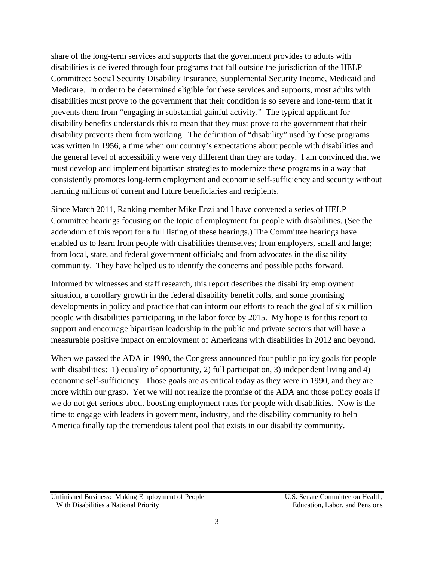share of the long-term services and supports that the government provides to adults with disabilities is delivered through four programs that fall outside the jurisdiction of the HELP Committee: Social Security Disability Insurance, Supplemental Security Income, Medicaid and Medicare. In order to be determined eligible for these services and supports, most adults with disabilities must prove to the government that their condition is so severe and long-term that it prevents them from "engaging in substantial gainful activity." The typical applicant for disability benefits understands this to mean that they must prove to the government that their disability prevents them from working. The definition of "disability" used by these programs was written in 1956, a time when our country's expectations about people with disabilities and the general level of accessibility were very different than they are today. I am convinced that we must develop and implement bipartisan strategies to modernize these programs in a way that consistently promotes long-term employment and economic self-sufficiency and security without harming millions of current and future beneficiaries and recipients.

Since March 2011, Ranking member Mike Enzi and I have convened a series of HELP Committee hearings focusing on the topic of employment for people with disabilities. (See the addendum of this report for a full listing of these hearings.) The Committee hearings have enabled us to learn from people with disabilities themselves; from employers, small and large; from local, state, and federal government officials; and from advocates in the disability community. They have helped us to identify the concerns and possible paths forward.

Informed by witnesses and staff research, this report describes the disability employment situation, a corollary growth in the federal disability benefit rolls, and some promising developments in policy and practice that can inform our efforts to reach the goal of six million people with disabilities participating in the labor force by 2015. My hope is for this report to support and encourage bipartisan leadership in the public and private sectors that will have a measurable positive impact on employment of Americans with disabilities in 2012 and beyond.

When we passed the ADA in 1990, the Congress announced four public policy goals for people with disabilities: 1) equality of opportunity, 2) full participation, 3) independent living and 4) economic self-sufficiency. Those goals are as critical today as they were in 1990, and they are more within our grasp. Yet we will not realize the promise of the ADA and those policy goals if we do not get serious about boosting employment rates for people with disabilities. Now is the time to engage with leaders in government, industry, and the disability community to help America finally tap the tremendous talent pool that exists in our disability community.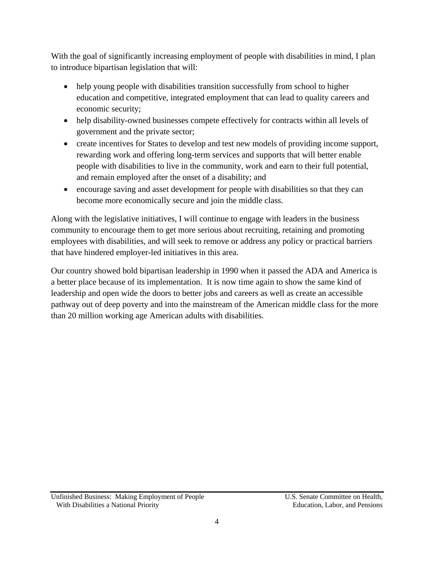With the goal of significantly increasing employment of people with disabilities in mind, I plan to introduce bipartisan legislation that will:

- help young people with disabilities transition successfully from school to higher education and competitive, integrated employment that can lead to quality careers and economic security;
- help disability-owned businesses compete effectively for contracts within all levels of government and the private sector;
- create incentives for States to develop and test new models of providing income support, rewarding work and offering long-term services and supports that will better enable people with disabilities to live in the community, work and earn to their full potential, and remain employed after the onset of a disability; and
- encourage saving and asset development for people with disabilities so that they can become more economically secure and join the middle class.

Along with the legislative initiatives, I will continue to engage with leaders in the business community to encourage them to get more serious about recruiting, retaining and promoting employees with disabilities, and will seek to remove or address any policy or practical barriers that have hindered employer-led initiatives in this area.

Our country showed bold bipartisan leadership in 1990 when it passed the ADA and America is a better place because of its implementation. It is now time again to show the same kind of leadership and open wide the doors to better jobs and careers as well as create an accessible pathway out of deep poverty and into the mainstream of the American middle class for the more than 20 million working age American adults with disabilities.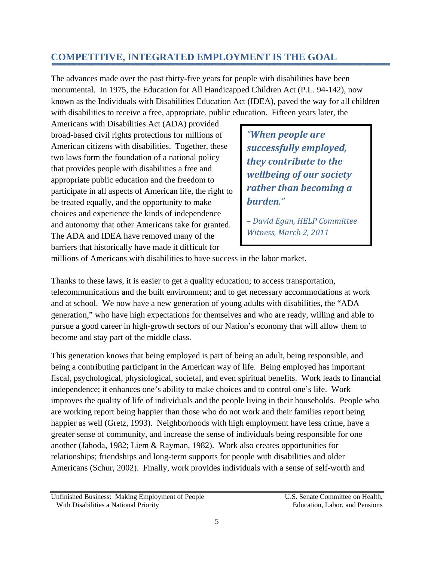## **COMPETITIVE, INTEGRATED EMPLOYMENT IS THE GOAL**

The advances made over the past thirty-five years for people with disabilities have been monumental. In 1975, the Education for All Handicapped Children Act (P.L. 94-142), now known as the Individuals with Disabilities Education Act (IDEA), paved the way for all children with disabilities to receive a free, appropriate, public education. Fifteen years later, the

Americans with Disabilities Act (ADA) provided broad-based civil rights protections for millions of American citizens with disabilities. Together, these two laws form the foundation of a national policy that provides people with disabilities a free and appropriate public education and the freedom to participate in all aspects of American life, the right to be treated equally, and the opportunity to make choices and experience the kinds of independence and autonomy that other Americans take for granted. The ADA and IDEA have removed many of the barriers that historically have made it difficult for

*"When people are successfully employed, they contribute to the wellbeing of our society rather than becoming a burden.*"

*– David Egan, HELP Committee Witness, March 2, 2011*

millions of Americans with disabilities to have success in the labor market.

Thanks to these laws, it is easier to get a quality education; to access transportation, telecommunications and the built environment; and to get necessary accommodations at work and at school. We now have a new generation of young adults with disabilities, the "ADA generation," who have high expectations for themselves and who are ready, willing and able to pursue a good career in high-growth sectors of our Nation's economy that will allow them to become and stay part of the middle class.

This generation knows that being employed is part of being an adult, being responsible, and being a contributing participant in the American way of life. Being employed has important fiscal, psychological, physiological, societal, and even spiritual benefits. Work leads to financial independence; it enhances one's ability to make choices and to control one's life. Work improves the quality of life of individuals and the people living in their households. People who are working report being happier than those who do not work and their families report being happier as well (Gretz, 1993). Neighborhoods with high employment have less crime, have a greater sense of community, and increase the sense of individuals being responsible for one another (Jahoda, 1982; Liem & Rayman, 1982). Work also creates opportunities for relationships; friendships and long-term supports for people with disabilities and older Americans (Schur, 2002). Finally, work provides individuals with a sense of self-worth and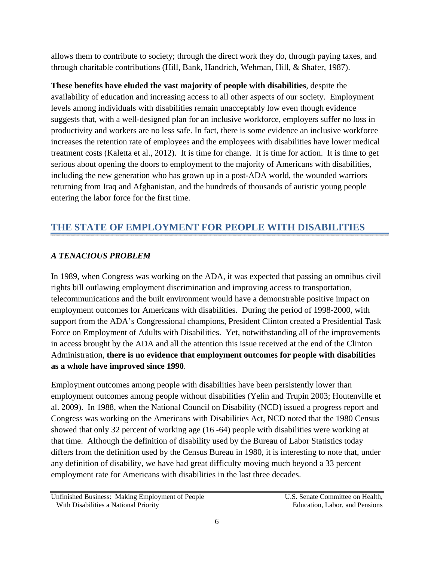allows them to contribute to society; through the direct work they do, through paying taxes, and through charitable contributions (Hill, Bank, Handrich, Wehman, Hill, & Shafer, 1987).

**These benefits have eluded the vast majority of people with disabilities**, despite the availability of education and increasing access to all other aspects of our society. Employment levels among individuals with disabilities remain unacceptably low even though evidence suggests that, with a well-designed plan for an inclusive workforce, employers suffer no loss in productivity and workers are no less safe. In fact, there is some evidence an inclusive workforce increases the retention rate of employees and the employees with disabilities have lower medical treatment costs (Kaletta et al., 2012). It is time for change. It is time for action. It is time to get serious about opening the doors to employment to the majority of Americans with disabilities, including the new generation who has grown up in a post-ADA world, the wounded warriors returning from Iraq and Afghanistan, and the hundreds of thousands of autistic young people entering the labor force for the first time.

# **THE STATE OF EMPLOYMENT FOR PEOPLE WITH DISABILITIES**

#### *A TENACIOUS PROBLEM*

In 1989, when Congress was working on the ADA, it was expected that passing an omnibus civil rights bill outlawing employment discrimination and improving access to transportation, telecommunications and the built environment would have a demonstrable positive impact on employment outcomes for Americans with disabilities. During the period of 1998-2000, with support from the ADA's Congressional champions, President Clinton created a Presidential Task Force on Employment of Adults with Disabilities. Yet, notwithstanding all of the improvements in access brought by the ADA and all the attention this issue received at the end of the Clinton Administration, **there is no evidence that employment outcomes for people with disabilities as a whole have improved since 1990**.

Employment outcomes among people with disabilities have been persistently lower than employment outcomes among people without disabilities (Yelin and Trupin 2003; Houtenville et al. 2009). In 1988, when the National Council on Disability (NCD) issued a progress report and Congress was working on the Americans with Disabilities Act, NCD noted that the 1980 Census showed that only 32 percent of working age (16 -64) people with disabilities were working at that time. Although the definition of disability used by the Bureau of Labor Statistics today differs from the definition used by the Census Bureau in 1980, it is interesting to note that, under any definition of disability, we have had great difficulty moving much beyond a 33 percent employment rate for Americans with disabilities in the last three decades.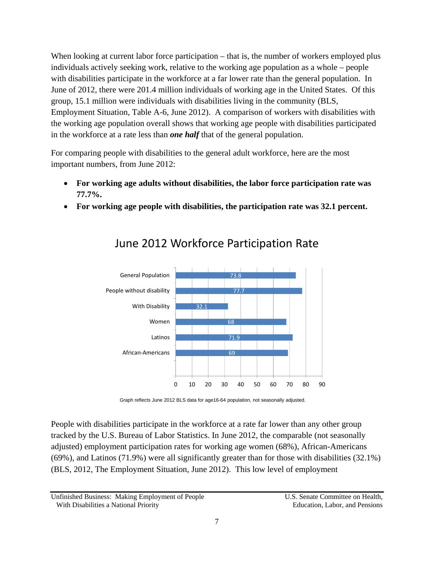When looking at current labor force participation – that is, the number of workers employed plus individuals actively seeking work, relative to the working age population as a whole – people with disabilities participate in the workforce at a far lower rate than the general population. In June of 2012, there were 201.4 million individuals of working age in the United States. Of this group, 15.1 million were individuals with disabilities living in the community (BLS, Employment Situation, Table A-6, June 2012). A comparison of workers with disabilities with the working age population overall shows that working age people with disabilities participated in the workforce at a rate less than *one half* that of the general population.

For comparing people with disabilities to the general adult workforce, here are the most important numbers, from June 2012:

- **For working age adults without disabilities, the labor force participation rate was 77.7%.**
- **For working age people with disabilities, the participation rate was 32.1 percent.**



# June 2012 Workforce Participation Rate

Graph reflects June 2012 BLS data for age16-64 population, not seasonally adjusted.

People with disabilities participate in the workforce at a rate far lower than any other group tracked by the U.S. Bureau of Labor Statistics. In June 2012, the comparable (not seasonally adjusted) employment participation rates for working age women (68%), African-Americans (69%), and Latinos (71.9%) were all significantly greater than for those with disabilities (32.1%) (BLS, 2012, The Employment Situation, June 2012). This low level of employment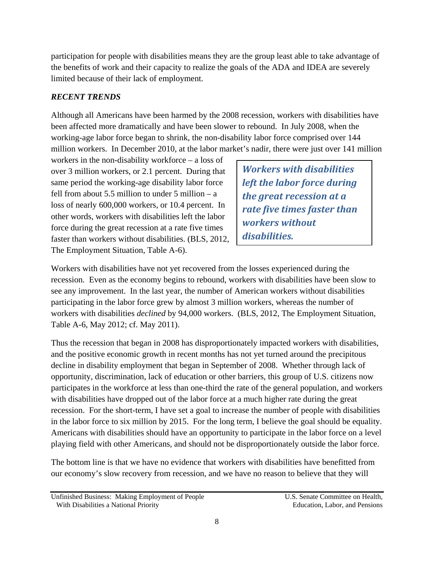participation for people with disabilities means they are the group least able to take advantage of the benefits of work and their capacity to realize the goals of the ADA and IDEA are severely limited because of their lack of employment.

## *RECENT TRENDS*

Although all Americans have been harmed by the 2008 recession, workers with disabilities have been affected more dramatically and have been slower to rebound. In July 2008, when the working-age labor force began to shrink, the non-disability labor force comprised over 144 million workers. In December 2010, at the labor market's nadir, there were just over 141 million

workers in the non-disability workforce – a loss of over 3 million workers, or 2.1 percent. During that same period the working-age disability labor force fell from about 5.5 million to under 5 million  $- a$ loss of nearly 600,000 workers, or 10.4 percent. In other words, workers with disabilities left the labor force during the great recession at a rate five times faster than workers without disabilities. (BLS, 2012, The Employment Situation, Table A-6).

*Workers with disabilities left the labor force during the great recession at a rate five times faster than workers without disabilities.*

Workers with disabilities have not yet recovered from the losses experienced during the recession. Even as the economy begins to rebound, workers with disabilities have been slow to see any improvement. In the last year, the number of American workers without disabilities participating in the labor force grew by almost 3 million workers, whereas the number of workers with disabilities *declined* by 94,000 workers. (BLS, 2012, The Employment Situation, Table A-6, May 2012; cf. May 2011).

Thus the recession that began in 2008 has disproportionately impacted workers with disabilities, and the positive economic growth in recent months has not yet turned around the precipitous decline in disability employment that began in September of 2008. Whether through lack of opportunity, discrimination, lack of education or other barriers, this group of U.S. citizens now participates in the workforce at less than one-third the rate of the general population, and workers with disabilities have dropped out of the labor force at a much higher rate during the great recession. For the short-term, I have set a goal to increase the number of people with disabilities in the labor force to six million by 2015. For the long term, I believe the goal should be equality. Americans with disabilities should have an opportunity to participate in the labor force on a level playing field with other Americans, and should not be disproportionately outside the labor force.

The bottom line is that we have no evidence that workers with disabilities have benefitted from our economy's slow recovery from recession, and we have no reason to believe that they will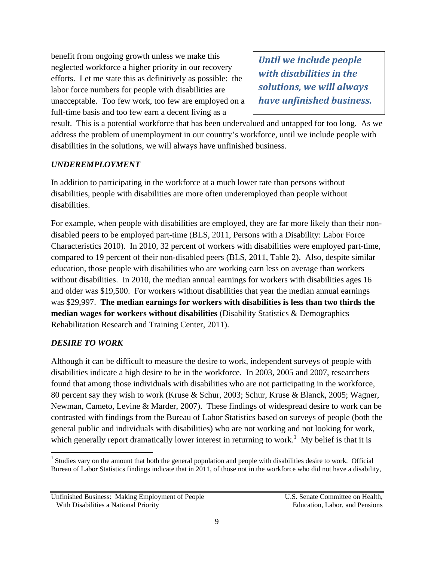benefit from ongoing growth unless we make this neglected workforce a higher priority in our recovery efforts. Let me state this as definitively as possible: the labor force numbers for people with disabilities are unacceptable. Too few work, too few are employed on a full-time basis and too few earn a decent living as a

*Until we include people with disabilities in the solutions, we will always have unfinished business.*

result. This is a potential workforce that has been undervalued and untapped for too long. As we address the problem of unemployment in our country's workforce, until we include people with disabilities in the solutions, we will always have unfinished business.

#### *UNDEREMPLOYMENT*

In addition to participating in the workforce at a much lower rate than persons without disabilities, people with disabilities are more often underemployed than people without disabilities.

For example, when people with disabilities are employed, they are far more likely than their nondisabled peers to be employed part-time (BLS, 2011, Persons with a Disability: Labor Force Characteristics 2010). In 2010, 32 percent of workers with disabilities were employed part-time, compared to 19 percent of their non-disabled peers (BLS, 2011, Table 2). Also, despite similar education, those people with disabilities who are working earn less on average than workers without disabilities. In 2010, the median annual earnings for workers with disabilities ages 16 and older was \$19,500. For workers without disabilities that year the median annual earnings was \$29,997. **The median earnings for workers with disabilities is less than two thirds the median wages for workers without disabilities** (Disability Statistics & Demographics Rehabilitation Research and Training Center, 2011).

#### *DESIRE TO WORK*

Although it can be difficult to measure the desire to work, independent surveys of people with disabilities indicate a high desire to be in the workforce. In 2003, 2005 and 2007, researchers found that among those individuals with disabilities who are not participating in the workforce, 80 percent say they wish to work (Kruse & Schur, 2003; Schur, Kruse & Blanck, 2005; Wagner, Newman, Cameto, Levine & Marder, 2007). These findings of widespread desire to work can be contrasted with findings from the Bureau of Labor Statistics based on surveys of people (both the general public and individuals with disabilities) who are not working and not looking for work, which generally report dramatically lower interest in returning to work.<sup>1</sup> My belief is that it is

Unfinished Business: Making Employment of People U.S. Senate Committee on Health, With Disabilities a National Priority **Education** Education, Labor, and Pensions

<sup>&</sup>lt;sup>1</sup> Studies vary on the amount that both the general population and people with disabilities desire to work. Official Bureau of Labor Statistics findings indicate that in 2011, of those not in the workforce who did not have a disability,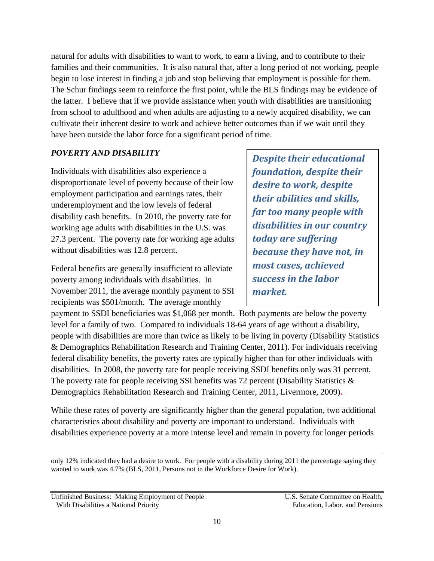natural for adults with disabilities to want to work, to earn a living, and to contribute to their families and their communities. It is also natural that, after a long period of not working, people begin to lose interest in finding a job and stop believing that employment is possible for them. The Schur findings seem to reinforce the first point, while the BLS findings may be evidence of the latter. I believe that if we provide assistance when youth with disabilities are transitioning from school to adulthood and when adults are adjusting to a newly acquired disability, we can cultivate their inherent desire to work and achieve better outcomes than if we wait until they have been outside the labor force for a significant period of time.

#### *POVERTY AND DISABILITY*

Individuals with disabilities also experience a disproportionate level of poverty because of their low employment participation and earnings rates, their underemployment and the low levels of federal disability cash benefits. In 2010, the poverty rate for working age adults with disabilities in the U.S. was 27.3 percent. The poverty rate for working age adults without disabilities was 12.8 percent.

Federal benefits are generally insufficient to alleviate poverty among individuals with disabilities. In November 2011, the average monthly payment to SSI recipients was \$501/month. The average monthly

*Despite their educational foundation, despite their desire to work, despite their abilities and skills, far too many people with disabilities in our country today are suffering because they have not, in most cases, achieved success in the labor market.*

payment to SSDI beneficiaries was \$1,068 per month. Both payments are below the poverty level for a family of two. Compared to individuals 18-64 years of age without a disability, people with disabilities are more than twice as likely to be living in poverty (Disability Statistics & Demographics Rehabilitation Research and Training Center, 2011). For individuals receiving federal disability benefits, the poverty rates are typically higher than for other individuals with disabilities. In 2008, the poverty rate for people receiving SSDI benefits only was 31 percent. The poverty rate for people receiving SSI benefits was 72 percent (Disability Statistics & Demographics Rehabilitation Research and Training Center, 2011, Livermore, 2009)**.**

While these rates of poverty are significantly higher than the general population, two additional characteristics about disability and poverty are important to understand. Individuals with disabilities experience poverty at a more intense level and remain in poverty for longer periods

<u> 1989 - Johann Stein, marwolaethau a gweledydd a ganlad y ganlad y ganlad y ganlad y ganlad y ganlad y ganlad</u> only 12% indicated they had a desire to work. For people with a disability during 2011 the percentage saying they wanted to work was 4.7% (BLS, 2011, Persons not in the Workforce Desire for Work).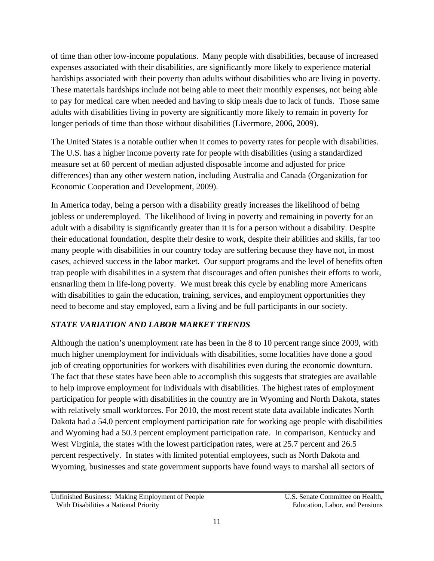of time than other low-income populations. Many people with disabilities, because of increased expenses associated with their disabilities, are significantly more likely to experience material hardships associated with their poverty than adults without disabilities who are living in poverty. These materials hardships include not being able to meet their monthly expenses, not being able to pay for medical care when needed and having to skip meals due to lack of funds. Those same adults with disabilities living in poverty are significantly more likely to remain in poverty for longer periods of time than those without disabilities (Livermore, 2006, 2009).

The United States is a notable outlier when it comes to poverty rates for people with disabilities. The U.S. has a higher income poverty rate for people with disabilities (using a standardized measure set at 60 percent of median adjusted disposable income and adjusted for price differences) than any other western nation, including Australia and Canada (Organization for Economic Cooperation and Development, 2009).

In America today, being a person with a disability greatly increases the likelihood of being jobless or underemployed. The likelihood of living in poverty and remaining in poverty for an adult with a disability is significantly greater than it is for a person without a disability. Despite their educational foundation, despite their desire to work, despite their abilities and skills, far too many people with disabilities in our country today are suffering because they have not, in most cases, achieved success in the labor market. Our support programs and the level of benefits often trap people with disabilities in a system that discourages and often punishes their efforts to work, ensnarling them in life-long poverty. We must break this cycle by enabling more Americans with disabilities to gain the education, training, services, and employment opportunities they need to become and stay employed, earn a living and be full participants in our society.

#### *STATE VARIATION AND LABOR MARKET TRENDS*

Although the nation's unemployment rate has been in the 8 to 10 percent range since 2009, with much higher unemployment for individuals with disabilities, some localities have done a good job of creating opportunities for workers with disabilities even during the economic downturn. The fact that these states have been able to accomplish this suggests that strategies are available to help improve employment for individuals with disabilities. The highest rates of employment participation for people with disabilities in the country are in Wyoming and North Dakota, states with relatively small workforces. For 2010, the most recent state data available indicates North Dakota had a 54.0 percent employment participation rate for working age people with disabilities and Wyoming had a 50.3 percent employment participation rate. In comparison, Kentucky and West Virginia, the states with the lowest participation rates, were at 25.7 percent and 26.5 percent respectively. In states with limited potential employees, such as North Dakota and Wyoming, businesses and state government supports have found ways to marshal all sectors of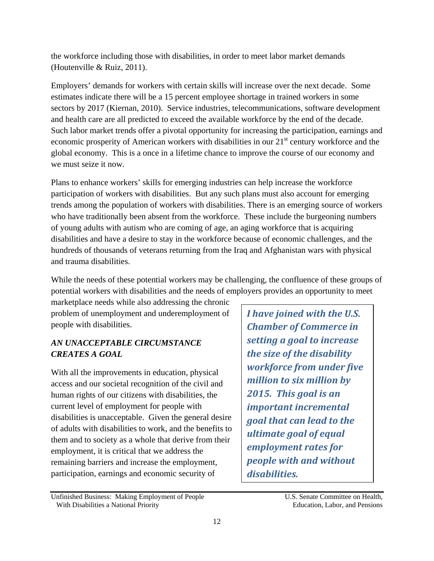the workforce including those with disabilities, in order to meet labor market demands (Houtenville & Ruiz, 2011).

Employers' demands for workers with certain skills will increase over the next decade. Some estimates indicate there will be a 15 percent employee shortage in trained workers in some sectors by 2017 (Kiernan, 2010). Service industries, telecommunications, software development and health care are all predicted to exceed the available workforce by the end of the decade. Such labor market trends offer a pivotal opportunity for increasing the participation, earnings and economic prosperity of American workers with disabilities in our  $21<sup>st</sup>$  century workforce and the global economy. This is a once in a lifetime chance to improve the course of our economy and we must seize it now.

Plans to enhance workers' skills for emerging industries can help increase the workforce participation of workers with disabilities. But any such plans must also account for emerging trends among the population of workers with disabilities. There is an emerging source of workers who have traditionally been absent from the workforce. These include the burgeoning numbers of young adults with autism who are coming of age, an aging workforce that is acquiring disabilities and have a desire to stay in the workforce because of economic challenges, and the hundreds of thousands of veterans returning from the Iraq and Afghanistan wars with physical and trauma disabilities.

While the needs of these potential workers may be challenging, the confluence of these groups of potential workers with disabilities and the needs of employers provides an opportunity to meet

marketplace needs while also addressing the chronic problem of unemployment and underemployment of people with disabilities.

## *AN UNACCEPTABLE CIRCUMSTANCE CREATES A GOAL*

With all the improvements in education, physical access and our societal recognition of the civil and human rights of our citizens with disabilities, the current level of employment for people with disabilities is unacceptable. Given the general desire of adults with disabilities to work, and the benefits to them and to society as a whole that derive from their employment, it is critical that we address the remaining barriers and increase the employment, participation, earnings and economic security of

Unfinished Business: Making Employment of People U.S. Senate Committee on Health, With Disabilities a National Priority **Education** Education, Labor, and Pensions

*I have joined with the U.S. Chamber of Commerce in setting a goal to increase the size of the disability workforce from under five million to six million by 2015. This goal is an important incremental goal that can lead to the ultimate goal of equal employment rates for people with and without disabilities.*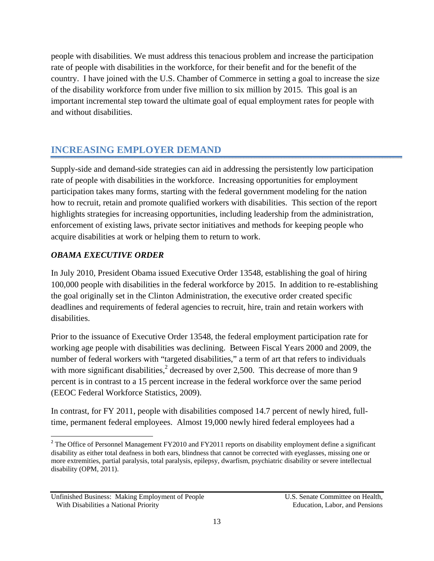people with disabilities. We must address this tenacious problem and increase the participation rate of people with disabilities in the workforce, for their benefit and for the benefit of the country. I have joined with the U.S. Chamber of Commerce in setting a goal to increase the size of the disability workforce from under five million to six million by 2015. This goal is an important incremental step toward the ultimate goal of equal employment rates for people with and without disabilities.

## **INCREASING EMPLOYER DEMAND**

Supply-side and demand-side strategies can aid in addressing the persistently low participation rate of people with disabilities in the workforce. Increasing opportunities for employment participation takes many forms, starting with the federal government modeling for the nation how to recruit, retain and promote qualified workers with disabilities. This section of the report highlights strategies for increasing opportunities, including leadership from the administration, enforcement of existing laws, private sector initiatives and methods for keeping people who acquire disabilities at work or helping them to return to work.

#### *OBAMA EXECUTIVE ORDER*

In July 2010, President Obama issued Executive Order 13548, establishing the goal of hiring 100,000 people with disabilities in the federal workforce by 2015. In addition to re-establishing the goal originally set in the Clinton Administration, the executive order created specific deadlines and requirements of federal agencies to recruit, hire, train and retain workers with disabilities.

Prior to the issuance of Executive Order 13548, the federal employment participation rate for working age people with disabilities was declining. Between Fiscal Years 2000 and 2009, the number of federal workers with "targeted disabilities," a term of art that refers to individuals with more significant disabilities,<sup>2</sup> decreased by over 2,500. This decrease of more than 9 percent is in contrast to a 15 percent increase in the federal workforce over the same period (EEOC Federal Workforce Statistics, 2009).

In contrast, for FY 2011, people with disabilities composed 14.7 percent of newly hired, fulltime, permanent federal employees. Almost 19,000 newly hired federal employees had a

<sup>&</sup>lt;sup>2</sup> The Office of Personnel Management FY2010 and FY2011 reports on disability employment define a significant disability as either total deafness in both ears, blindness that cannot be corrected with eyeglasses, missing one or more extremities, partial paralysis, total paralysis, epilepsy, dwarfism, psychiatric disability or severe intellectual disability (OPM, 2011).

Unfinished Business: Making Employment of People U.S. Senate Committee on Health, With Disabilities a National Priority **Education** Education, Labor, and Pensions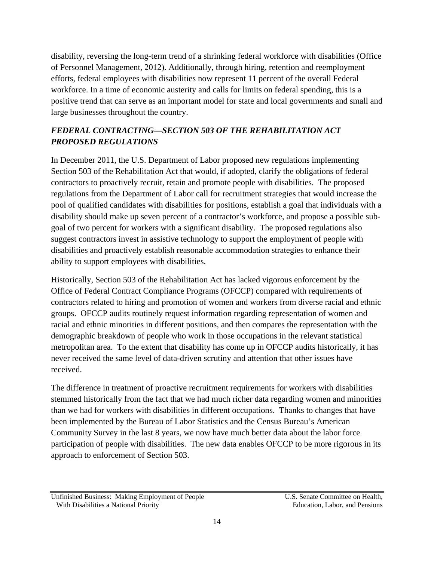disability, reversing the long-term trend of a shrinking federal workforce with disabilities (Office of Personnel Management, 2012). Additionally, through hiring, retention and reemployment efforts, federal employees with disabilities now represent 11 percent of the overall Federal workforce. In a time of economic austerity and calls for limits on federal spending, this is a positive trend that can serve as an important model for state and local governments and small and large businesses throughout the country.

## *FEDERAL CONTRACTING—SECTION 503 OF THE REHABILITATION ACT PROPOSED REGULATIONS*

In December 2011, the U.S. Department of Labor proposed new regulations implementing Section 503 of the Rehabilitation Act that would, if adopted, clarify the obligations of federal contractors to proactively recruit, retain and promote people with disabilities. The proposed regulations from the Department of Labor call for recruitment strategies that would increase the pool of qualified candidates with disabilities for positions, establish a goal that individuals with a disability should make up seven percent of a contractor's workforce, and propose a possible subgoal of two percent for workers with a significant disability. The proposed regulations also suggest contractors invest in assistive technology to support the employment of people with disabilities and proactively establish reasonable accommodation strategies to enhance their ability to support employees with disabilities.

Historically, Section 503 of the Rehabilitation Act has lacked vigorous enforcement by the Office of Federal Contract Compliance Programs (OFCCP) compared with requirements of contractors related to hiring and promotion of women and workers from diverse racial and ethnic groups. OFCCP audits routinely request information regarding representation of women and racial and ethnic minorities in different positions, and then compares the representation with the demographic breakdown of people who work in those occupations in the relevant statistical metropolitan area. To the extent that disability has come up in OFCCP audits historically, it has never received the same level of data-driven scrutiny and attention that other issues have received.

The difference in treatment of proactive recruitment requirements for workers with disabilities stemmed historically from the fact that we had much richer data regarding women and minorities than we had for workers with disabilities in different occupations. Thanks to changes that have been implemented by the Bureau of Labor Statistics and the Census Bureau's American Community Survey in the last 8 years, we now have much better data about the labor force participation of people with disabilities. The new data enables OFCCP to be more rigorous in its approach to enforcement of Section 503.

Unfinished Business: Making Employment of People U.S. Senate Committee on Health, With Disabilities a National Priority **Education** Education, Labor, and Pensions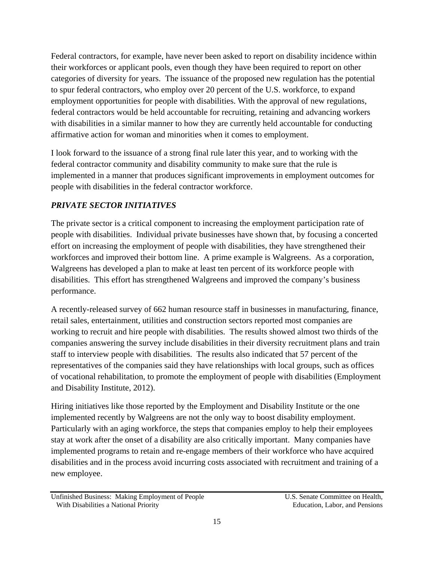Federal contractors, for example, have never been asked to report on disability incidence within their workforces or applicant pools, even though they have been required to report on other categories of diversity for years. The issuance of the proposed new regulation has the potential to spur federal contractors, who employ over 20 percent of the U.S. workforce, to expand employment opportunities for people with disabilities. With the approval of new regulations, federal contractors would be held accountable for recruiting, retaining and advancing workers with disabilities in a similar manner to how they are currently held accountable for conducting affirmative action for woman and minorities when it comes to employment.

I look forward to the issuance of a strong final rule later this year, and to working with the federal contractor community and disability community to make sure that the rule is implemented in a manner that produces significant improvements in employment outcomes for people with disabilities in the federal contractor workforce.

## *PRIVATE SECTOR INITIATIVES*

The private sector is a critical component to increasing the employment participation rate of people with disabilities. Individual private businesses have shown that, by focusing a concerted effort on increasing the employment of people with disabilities, they have strengthened their workforces and improved their bottom line. A prime example is Walgreens. As a corporation, Walgreens has developed a plan to make at least ten percent of its workforce people with disabilities. This effort has strengthened Walgreens and improved the company's business performance.

A recently-released survey of 662 human resource staff in businesses in manufacturing, finance, retail sales, entertainment, utilities and construction sectors reported most companies are working to recruit and hire people with disabilities. The results showed almost two thirds of the companies answering the survey include disabilities in their diversity recruitment plans and train staff to interview people with disabilities. The results also indicated that 57 percent of the representatives of the companies said they have relationships with local groups, such as offices of vocational rehabilitation, to promote the employment of people with disabilities (Employment and Disability Institute, 2012).

Hiring initiatives like those reported by the Employment and Disability Institute or the one implemented recently by Walgreens are not the only way to boost disability employment. Particularly with an aging workforce, the steps that companies employ to help their employees stay at work after the onset of a disability are also critically important. Many companies have implemented programs to retain and re-engage members of their workforce who have acquired disabilities and in the process avoid incurring costs associated with recruitment and training of a new employee.

Unfinished Business: Making Employment of People U.S. Senate Committee on Health, With Disabilities a National Priority **Education** Education, Labor, and Pensions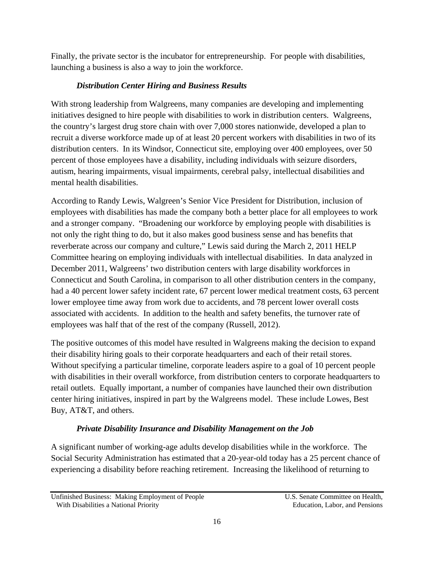Finally, the private sector is the incubator for entrepreneurship. For people with disabilities, launching a business is also a way to join the workforce.

#### *Distribution Center Hiring and Business Results*

With strong leadership from Walgreens, many companies are developing and implementing initiatives designed to hire people with disabilities to work in distribution centers. Walgreens, the country's largest drug store chain with over 7,000 stores nationwide, developed a plan to recruit a diverse workforce made up of at least 20 percent workers with disabilities in two of its distribution centers. In its Windsor, Connecticut site, employing over 400 employees, over 50 percent of those employees have a disability, including individuals with seizure disorders, autism, hearing impairments, visual impairments, cerebral palsy, intellectual disabilities and mental health disabilities.

According to Randy Lewis, Walgreen's Senior Vice President for Distribution, inclusion of employees with disabilities has made the company both a better place for all employees to work and a stronger company. "Broadening our workforce by employing people with disabilities is not only the right thing to do, but it also makes good business sense and has benefits that reverberate across our company and culture," Lewis said during the March 2, 2011 HELP Committee hearing on employing individuals with intellectual disabilities. In data analyzed in December 2011, Walgreens' two distribution centers with large disability workforces in Connecticut and South Carolina, in comparison to all other distribution centers in the company, had a 40 percent lower safety incident rate, 67 percent lower medical treatment costs, 63 percent lower employee time away from work due to accidents, and 78 percent lower overall costs associated with accidents. In addition to the health and safety benefits, the turnover rate of employees was half that of the rest of the company (Russell, 2012).

The positive outcomes of this model have resulted in Walgreens making the decision to expand their disability hiring goals to their corporate headquarters and each of their retail stores. Without specifying a particular timeline, corporate leaders aspire to a goal of 10 percent people with disabilities in their overall workforce, from distribution centers to corporate headquarters to retail outlets. Equally important, a number of companies have launched their own distribution center hiring initiatives, inspired in part by the Walgreens model. These include Lowes, Best Buy, AT&T, and others.

## *Private Disability Insurance and Disability Management on the Job*

A significant number of working-age adults develop disabilities while in the workforce. The Social Security Administration has estimated that a 20-year-old today has a 25 percent chance of experiencing a disability before reaching retirement. Increasing the likelihood of returning to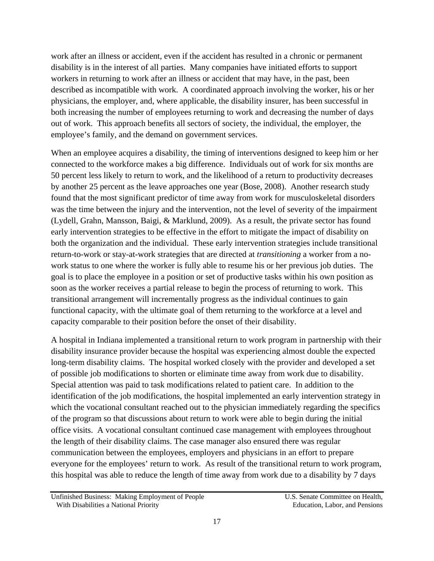work after an illness or accident, even if the accident has resulted in a chronic or permanent disability is in the interest of all parties. Many companies have initiated efforts to support workers in returning to work after an illness or accident that may have, in the past, been described as incompatible with work. A coordinated approach involving the worker, his or her physicians, the employer, and, where applicable, the disability insurer, has been successful in both increasing the number of employees returning to work and decreasing the number of days out of work. This approach benefits all sectors of society, the individual, the employer, the employee's family, and the demand on government services.

When an employee acquires a disability, the timing of interventions designed to keep him or her connected to the workforce makes a big difference. Individuals out of work for six months are 50 percent less likely to return to work, and the likelihood of a return to productivity decreases by another 25 percent as the leave approaches one year (Bose, 2008). Another research study found that the most significant predictor of time away from work for musculoskeletal disorders was the time between the injury and the intervention, not the level of severity of the impairment (Lydell, Grahn, Mansson, Baigi, & Marklund, 2009). As a result, the private sector has found early intervention strategies to be effective in the effort to mitigate the impact of disability on both the organization and the individual. These early intervention strategies include transitional return-to-work or stay-at-work strategies that are directed at *transitioning* a worker from a nowork status to one where the worker is fully able to resume his or her previous job duties. The goal is to place the employee in a position or set of productive tasks within his own position as soon as the worker receives a partial release to begin the process of returning to work. This transitional arrangement will incrementally progress as the individual continues to gain functional capacity, with the ultimate goal of them returning to the workforce at a level and capacity comparable to their position before the onset of their disability.

A hospital in Indiana implemented a transitional return to work program in partnership with their disability insurance provider because the hospital was experiencing almost double the expected long-term disability claims. The hospital worked closely with the provider and developed a set of possible job modifications to shorten or eliminate time away from work due to disability. Special attention was paid to task modifications related to patient care. In addition to the identification of the job modifications, the hospital implemented an early intervention strategy in which the vocational consultant reached out to the physician immediately regarding the specifics of the program so that discussions about return to work were able to begin during the initial office visits. A vocational consultant continued case management with employees throughout the length of their disability claims. The case manager also ensured there was regular communication between the employees, employers and physicians in an effort to prepare everyone for the employees' return to work. As result of the transitional return to work program, this hospital was able to reduce the length of time away from work due to a disability by 7 days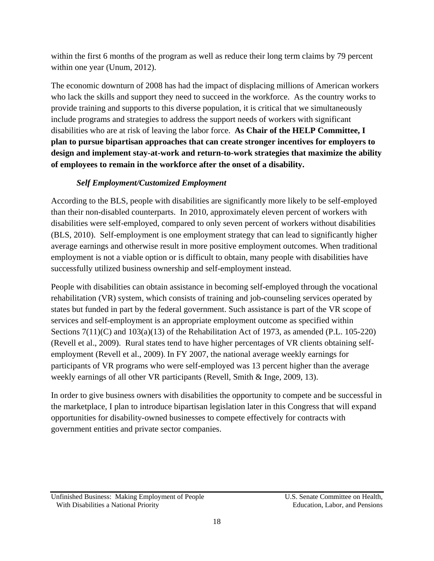within the first 6 months of the program as well as reduce their long term claims by 79 percent within one year (Unum, 2012).

The economic downturn of 2008 has had the impact of displacing millions of American workers who lack the skills and support they need to succeed in the workforce. As the country works to provide training and supports to this diverse population, it is critical that we simultaneously include programs and strategies to address the support needs of workers with significant disabilities who are at risk of leaving the labor force. **As Chair of the HELP Committee, I plan to pursue bipartisan approaches that can create stronger incentives for employers to design and implement stay-at-work and return-to-work strategies that maximize the ability of employees to remain in the workforce after the onset of a disability.** 

## *Self Employment/Customized Employment*

According to the BLS, people with disabilities are significantly more likely to be self-employed than their non-disabled counterparts. In 2010, approximately eleven percent of workers with disabilities were self-employed, compared to only seven percent of workers without disabilities (BLS, 2010). Self-employment is one employment strategy that can lead to significantly higher average earnings and otherwise result in more positive employment outcomes. When traditional employment is not a viable option or is difficult to obtain, many people with disabilities have successfully utilized business ownership and self-employment instead.

People with disabilities can obtain assistance in becoming self-employed through the vocational rehabilitation (VR) system, which consists of training and job-counseling services operated by states but funded in part by the federal government. Such assistance is part of the VR scope of services and self-employment is an appropriate employment outcome as specified within Sections  $7(11)(C)$  and  $103(a)(13)$  of the Rehabilitation Act of 1973, as amended (P.L. 105-220) (Revell et al., 2009). Rural states tend to have higher percentages of VR clients obtaining selfemployment (Revell et al., 2009). In FY 2007, the national average weekly earnings for participants of VR programs who were self-employed was 13 percent higher than the average weekly earnings of all other VR participants (Revell, Smith & Inge, 2009, 13).

In order to give business owners with disabilities the opportunity to compete and be successful in the marketplace, I plan to introduce bipartisan legislation later in this Congress that will expand opportunities for disability-owned businesses to compete effectively for contracts with government entities and private sector companies.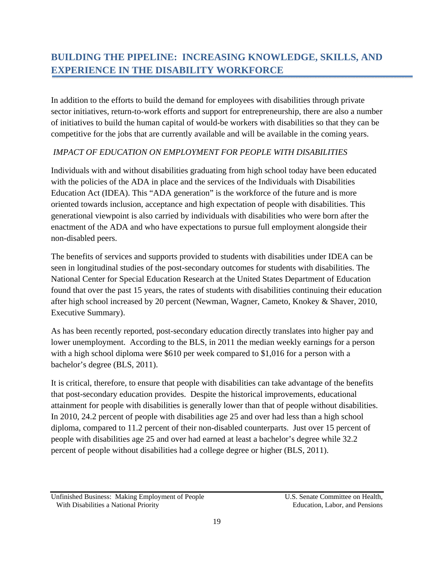# **BUILDING THE PIPELINE: INCREASING KNOWLEDGE, SKILLS, AND EXPERIENCE IN THE DISABILITY WORKFORCE**

In addition to the efforts to build the demand for employees with disabilities through private sector initiatives, return-to-work efforts and support for entrepreneurship, there are also a number of initiatives to build the human capital of would-be workers with disabilities so that they can be competitive for the jobs that are currently available and will be available in the coming years.

#### *IMPACT OF EDUCATION ON EMPLOYMENT FOR PEOPLE WITH DISABILITIES*

Individuals with and without disabilities graduating from high school today have been educated with the policies of the ADA in place and the services of the Individuals with Disabilities Education Act (IDEA). This "ADA generation" is the workforce of the future and is more oriented towards inclusion, acceptance and high expectation of people with disabilities. This generational viewpoint is also carried by individuals with disabilities who were born after the enactment of the ADA and who have expectations to pursue full employment alongside their non-disabled peers.

The benefits of services and supports provided to students with disabilities under IDEA can be seen in longitudinal studies of the post-secondary outcomes for students with disabilities. The National Center for Special Education Research at the United States Department of Education found that over the past 15 years, the rates of students with disabilities continuing their education after high school increased by 20 percent (Newman, Wagner, Cameto, Knokey & Shaver, 2010, Executive Summary).

As has been recently reported, post-secondary education directly translates into higher pay and lower unemployment. According to the BLS, in 2011 the median weekly earnings for a person with a high school diploma were \$610 per week compared to \$1,016 for a person with a bachelor's degree (BLS, 2011).

It is critical, therefore, to ensure that people with disabilities can take advantage of the benefits that post-secondary education provides. Despite the historical improvements, educational attainment for people with disabilities is generally lower than that of people without disabilities. In 2010, 24.2 percent of people with disabilities age 25 and over had less than a high school diploma, compared to 11.2 percent of their non-disabled counterparts. Just over 15 percent of people with disabilities age 25 and over had earned at least a bachelor's degree while 32.2 percent of people without disabilities had a college degree or higher (BLS, 2011).

Unfinished Business: Making Employment of People U.S. Senate Committee on Health, With Disabilities a National Priority **Education** Education, Labor, and Pensions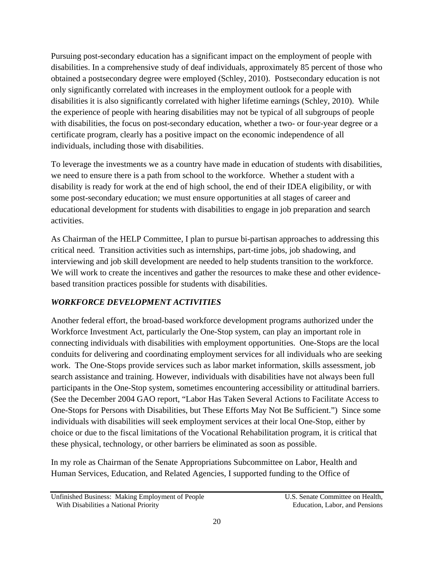Pursuing post-secondary education has a significant impact on the employment of people with disabilities. In a comprehensive study of deaf individuals, approximately 85 percent of those who obtained a postsecondary degree were employed (Schley, 2010). Postsecondary education is not only significantly correlated with increases in the employment outlook for a people with disabilities it is also significantly correlated with higher lifetime earnings (Schley, 2010). While the experience of people with hearing disabilities may not be typical of all subgroups of people with disabilities, the focus on post-secondary education, whether a two- or four-year degree or a certificate program, clearly has a positive impact on the economic independence of all individuals, including those with disabilities.

To leverage the investments we as a country have made in education of students with disabilities, we need to ensure there is a path from school to the workforce. Whether a student with a disability is ready for work at the end of high school, the end of their IDEA eligibility, or with some post-secondary education; we must ensure opportunities at all stages of career and educational development for students with disabilities to engage in job preparation and search activities.

As Chairman of the HELP Committee, I plan to pursue bi-partisan approaches to addressing this critical need. Transition activities such as internships, part-time jobs, job shadowing, and interviewing and job skill development are needed to help students transition to the workforce. We will work to create the incentives and gather the resources to make these and other evidencebased transition practices possible for students with disabilities.

## *WORKFORCE DEVELOPMENT ACTIVITIES*

Another federal effort, the broad-based workforce development programs authorized under the Workforce Investment Act, particularly the One-Stop system, can play an important role in connecting individuals with disabilities with employment opportunities. One-Stops are the local conduits for delivering and coordinating employment services for all individuals who are seeking work. The One-Stops provide services such as labor market information, skills assessment, job search assistance and training. However, individuals with disabilities have not always been full participants in the One-Stop system, sometimes encountering accessibility or attitudinal barriers. (See the December 2004 GAO report, "Labor Has Taken Several Actions to Facilitate Access to One-Stops for Persons with Disabilities, but These Efforts May Not Be Sufficient.") Since some individuals with disabilities will seek employment services at their local One-Stop, either by choice or due to the fiscal limitations of the Vocational Rehabilitation program, it is critical that these physical, technology, or other barriers be eliminated as soon as possible.

In my role as Chairman of the Senate Appropriations Subcommittee on Labor, Health and Human Services, Education, and Related Agencies, I supported funding to the Office of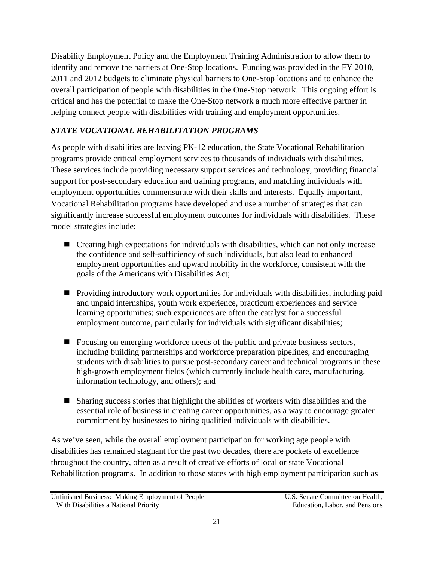Disability Employment Policy and the Employment Training Administration to allow them to identify and remove the barriers at One-Stop locations. Funding was provided in the FY 2010, 2011 and 2012 budgets to eliminate physical barriers to One-Stop locations and to enhance the overall participation of people with disabilities in the One-Stop network. This ongoing effort is critical and has the potential to make the One-Stop network a much more effective partner in helping connect people with disabilities with training and employment opportunities.

## *STATE VOCATIONAL REHABILITATION PROGRAMS*

As people with disabilities are leaving PK-12 education, the State Vocational Rehabilitation programs provide critical employment services to thousands of individuals with disabilities. These services include providing necessary support services and technology, providing financial support for post-secondary education and training programs, and matching individuals with employment opportunities commensurate with their skills and interests. Equally important, Vocational Rehabilitation programs have developed and use a number of strategies that can significantly increase successful employment outcomes for individuals with disabilities. These model strategies include:

- Creating high expectations for individuals with disabilities, which can not only increase the confidence and self-sufficiency of such individuals, but also lead to enhanced employment opportunities and upward mobility in the workforce, consistent with the goals of the Americans with Disabilities Act;
- Providing introductory work opportunities for individuals with disabilities, including paid and unpaid internships, youth work experience, practicum experiences and service learning opportunities; such experiences are often the catalyst for a successful employment outcome, particularly for individuals with significant disabilities;
- Focusing on emerging workforce needs of the public and private business sectors, including building partnerships and workforce preparation pipelines, and encouraging students with disabilities to pursue post-secondary career and technical programs in these high-growth employment fields (which currently include health care, manufacturing, information technology, and others); and
- Sharing success stories that highlight the abilities of workers with disabilities and the essential role of business in creating career opportunities, as a way to encourage greater commitment by businesses to hiring qualified individuals with disabilities.

As we've seen, while the overall employment participation for working age people with disabilities has remained stagnant for the past two decades, there are pockets of excellence throughout the country, often as a result of creative efforts of local or state Vocational Rehabilitation programs. In addition to those states with high employment participation such as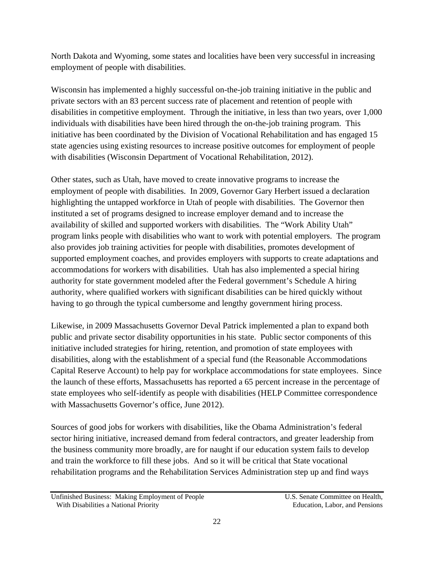North Dakota and Wyoming, some states and localities have been very successful in increasing employment of people with disabilities.

Wisconsin has implemented a highly successful on-the-job training initiative in the public and private sectors with an 83 percent success rate of placement and retention of people with disabilities in competitive employment. Through the initiative, in less than two years, over 1,000 individuals with disabilities have been hired through the on-the-job training program. This initiative has been coordinated by the Division of Vocational Rehabilitation and has engaged 15 state agencies using existing resources to increase positive outcomes for employment of people with disabilities (Wisconsin Department of Vocational Rehabilitation, 2012).

Other states, such as Utah, have moved to create innovative programs to increase the employment of people with disabilities. In 2009, Governor Gary Herbert issued a declaration highlighting the untapped workforce in Utah of people with disabilities. The Governor then instituted a set of programs designed to increase employer demand and to increase the availability of skilled and supported workers with disabilities. The "Work Ability Utah" program links people with disabilities who want to work with potential employers. The program also provides job training activities for people with disabilities, promotes development of supported employment coaches, and provides employers with supports to create adaptations and accommodations for workers with disabilities. Utah has also implemented a special hiring authority for state government modeled after the Federal government's Schedule A hiring authority, where qualified workers with significant disabilities can be hired quickly without having to go through the typical cumbersome and lengthy government hiring process.

Likewise, in 2009 Massachusetts Governor Deval Patrick implemented a plan to expand both public and private sector disability opportunities in his state. Public sector components of this initiative included strategies for hiring, retention, and promotion of state employees with disabilities, along with the establishment of a special fund (the Reasonable Accommodations Capital Reserve Account) to help pay for workplace accommodations for state employees. Since the launch of these efforts, Massachusetts has reported a 65 percent increase in the percentage of state employees who self-identify as people with disabilities (HELP Committee correspondence with Massachusetts Governor's office, June 2012).

Sources of good jobs for workers with disabilities, like the Obama Administration's federal sector hiring initiative, increased demand from federal contractors, and greater leadership from the business community more broadly, are for naught if our education system fails to develop and train the workforce to fill these jobs. And so it will be critical that State vocational rehabilitation programs and the Rehabilitation Services Administration step up and find ways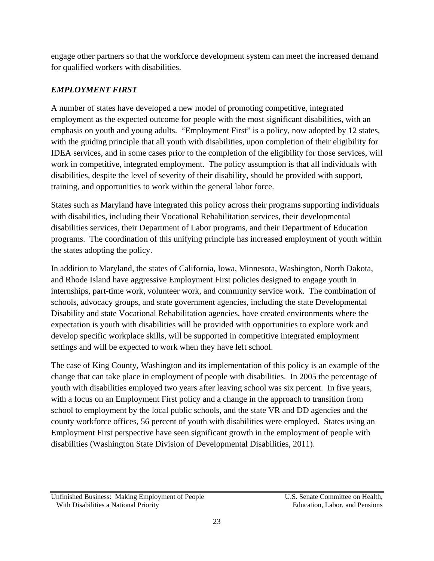engage other partners so that the workforce development system can meet the increased demand for qualified workers with disabilities.

## *EMPLOYMENT FIRST*

A number of states have developed a new model of promoting competitive, integrated employment as the expected outcome for people with the most significant disabilities, with an emphasis on youth and young adults. "Employment First" is a policy, now adopted by 12 states, with the guiding principle that all youth with disabilities, upon completion of their eligibility for IDEA services, and in some cases prior to the completion of the eligibility for those services, will work in competitive, integrated employment. The policy assumption is that all individuals with disabilities, despite the level of severity of their disability, should be provided with support, training, and opportunities to work within the general labor force.

States such as Maryland have integrated this policy across their programs supporting individuals with disabilities, including their Vocational Rehabilitation services, their developmental disabilities services, their Department of Labor programs, and their Department of Education programs. The coordination of this unifying principle has increased employment of youth within the states adopting the policy.

In addition to Maryland, the states of California, Iowa, Minnesota, Washington, North Dakota, and Rhode Island have aggressive Employment First policies designed to engage youth in internships, part-time work, volunteer work, and community service work. The combination of schools, advocacy groups, and state government agencies, including the state Developmental Disability and state Vocational Rehabilitation agencies, have created environments where the expectation is youth with disabilities will be provided with opportunities to explore work and develop specific workplace skills, will be supported in competitive integrated employment settings and will be expected to work when they have left school.

The case of King County, Washington and its implementation of this policy is an example of the change that can take place in employment of people with disabilities. In 2005 the percentage of youth with disabilities employed two years after leaving school was six percent. In five years, with a focus on an Employment First policy and a change in the approach to transition from school to employment by the local public schools, and the state VR and DD agencies and the county workforce offices, 56 percent of youth with disabilities were employed. States using an Employment First perspective have seen significant growth in the employment of people with disabilities (Washington State Division of Developmental Disabilities, 2011).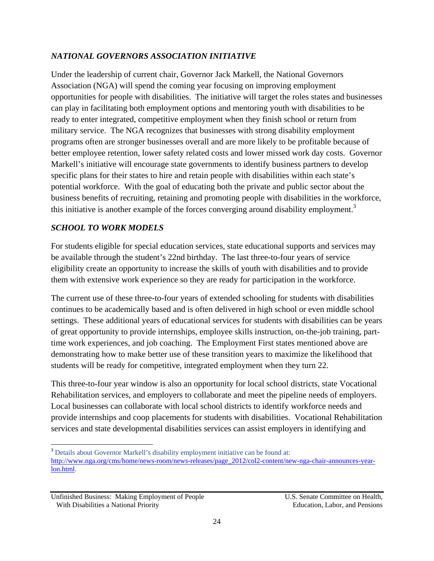#### *NATIONAL GOVERNORS ASSOCIATION INITIATIVE*

Under the leadership of current chair, Governor Jack Markell, the National Governors Association (NGA) will spend the coming year focusing on improving employment opportunities for people with disabilities. The initiative will target the roles states and businesses can play in facilitating both employment options and mentoring youth with disabilities to be ready to enter integrated, competitive employment when they finish school or return from military service. The NGA recognizes that businesses with strong disability employment programs often are stronger businesses overall and are more likely to be profitable because of better employee retention, lower safety related costs and lower missed work day costs. Governor Markell's initiative will encourage state governments to identify business partners to develop specific plans for their states to hire and retain people with disabilities within each state's potential workforce. With the goal of educating both the private and public sector about the business benefits of recruiting, retaining and promoting people with disabilities in the workforce, this initiative is another example of the forces converging around disability employment.<sup>3</sup>

#### *SCHOOL TO WORK MODELS*

For students eligible for special education services, state educational supports and services may be available through the student's 22nd birthday. The last three-to-four years of service eligibility create an opportunity to increase the skills of youth with disabilities and to provide them with extensive work experience so they are ready for participation in the workforce.

The current use of these three-to-four years of extended schooling for students with disabilities continues to be academically based and is often delivered in high school or even middle school settings. These additional years of educational services for students with disabilities can be years of great opportunity to provide internships, employee skills instruction, on-the-job training, parttime work experiences, and job coaching. The Employment First states mentioned above are demonstrating how to make better use of these transition years to maximize the likelihood that students will be ready for competitive, integrated employment when they turn 22.

This three-to-four year window is also an opportunity for local school districts, state Vocational Rehabilitation services, and employers to collaborate and meet the pipeline needs of employers. Local businesses can collaborate with local school districts to identify workforce needs and provide internships and coop placements for students with disabilities. Vocational Rehabilitation services and state developmental disabilities services can assist employers in identifying and

 <sup>3</sup> Details about Governor Markell's disability employment initiative can be found at: http://www.nga.org/cms/home/news-room/news-releases/page\_2012/col2-content/new-nga-chair-announces-yearlon.html.

Unfinished Business: Making Employment of People U.S. Senate Committee on Health, With Disabilities a National Priority **Education** Education, Labor, and Pensions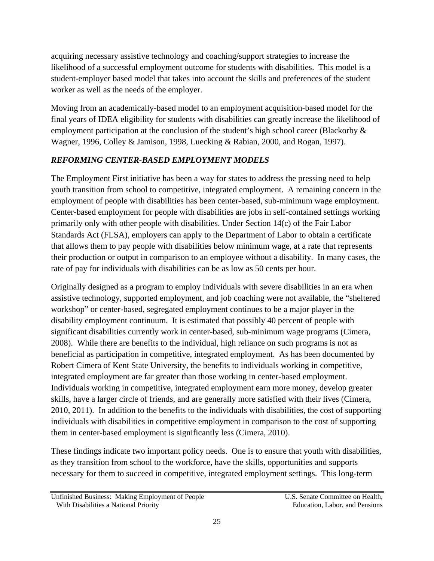acquiring necessary assistive technology and coaching/support strategies to increase the likelihood of a successful employment outcome for students with disabilities. This model is a student-employer based model that takes into account the skills and preferences of the student worker as well as the needs of the employer.

Moving from an academically-based model to an employment acquisition-based model for the final years of IDEA eligibility for students with disabilities can greatly increase the likelihood of employment participation at the conclusion of the student's high school career (Blackorby & Wagner, 1996, Colley & Jamison, 1998, Luecking & Rabian, 2000, and Rogan, 1997).

## *REFORMING CENTER-BASED EMPLOYMENT MODELS*

The Employment First initiative has been a way for states to address the pressing need to help youth transition from school to competitive, integrated employment. A remaining concern in the employment of people with disabilities has been center-based, sub-minimum wage employment. Center-based employment for people with disabilities are jobs in self-contained settings working primarily only with other people with disabilities. Under Section 14(c) of the Fair Labor Standards Act (FLSA), employers can apply to the Department of Labor to obtain a certificate that allows them to pay people with disabilities below minimum wage, at a rate that represents their production or output in comparison to an employee without a disability. In many cases, the rate of pay for individuals with disabilities can be as low as 50 cents per hour.

Originally designed as a program to employ individuals with severe disabilities in an era when assistive technology, supported employment, and job coaching were not available, the "sheltered workshop" or center-based, segregated employment continues to be a major player in the disability employment continuum. It is estimated that possibly 40 percent of people with significant disabilities currently work in center-based, sub-minimum wage programs (Cimera, 2008). While there are benefits to the individual, high reliance on such programs is not as beneficial as participation in competitive, integrated employment. As has been documented by Robert Cimera of Kent State University, the benefits to individuals working in competitive, integrated employment are far greater than those working in center-based employment. Individuals working in competitive, integrated employment earn more money, develop greater skills, have a larger circle of friends, and are generally more satisfied with their lives (Cimera, 2010, 2011). In addition to the benefits to the individuals with disabilities, the cost of supporting individuals with disabilities in competitive employment in comparison to the cost of supporting them in center-based employment is significantly less (Cimera, 2010).

These findings indicate two important policy needs. One is to ensure that youth with disabilities, as they transition from school to the workforce, have the skills, opportunities and supports necessary for them to succeed in competitive, integrated employment settings. This long-term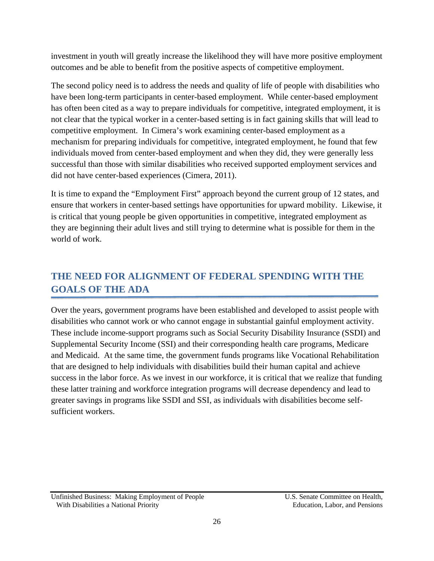investment in youth will greatly increase the likelihood they will have more positive employment outcomes and be able to benefit from the positive aspects of competitive employment.

The second policy need is to address the needs and quality of life of people with disabilities who have been long-term participants in center-based employment. While center-based employment has often been cited as a way to prepare individuals for competitive, integrated employment, it is not clear that the typical worker in a center-based setting is in fact gaining skills that will lead to competitive employment. In Cimera's work examining center-based employment as a mechanism for preparing individuals for competitive, integrated employment, he found that few individuals moved from center-based employment and when they did, they were generally less successful than those with similar disabilities who received supported employment services and did not have center-based experiences (Cimera, 2011).

It is time to expand the "Employment First" approach beyond the current group of 12 states, and ensure that workers in center-based settings have opportunities for upward mobility. Likewise, it is critical that young people be given opportunities in competitive, integrated employment as they are beginning their adult lives and still trying to determine what is possible for them in the world of work.

# **THE NEED FOR ALIGNMENT OF FEDERAL SPENDING WITH THE GOALS OF THE ADA**

Over the years, government programs have been established and developed to assist people with disabilities who cannot work or who cannot engage in substantial gainful employment activity. These include income-support programs such as Social Security Disability Insurance (SSDI) and Supplemental Security Income (SSI) and their corresponding health care programs, Medicare and Medicaid. At the same time, the government funds programs like Vocational Rehabilitation that are designed to help individuals with disabilities build their human capital and achieve success in the labor force. As we invest in our workforce, it is critical that we realize that funding these latter training and workforce integration programs will decrease dependency and lead to greater savings in programs like SSDI and SSI, as individuals with disabilities become selfsufficient workers.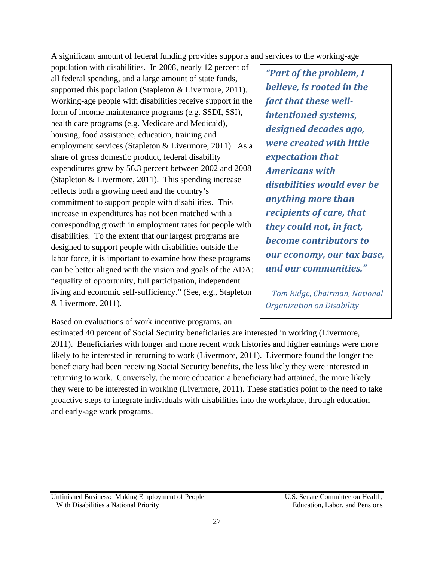A significant amount of federal funding provides supports and services to the working-age

population with disabilities. In 2008, nearly 12 percent of all federal spending, and a large amount of state funds, supported this population (Stapleton & Livermore, 2011). Working-age people with disabilities receive support in the form of income maintenance programs (e.g. SSDI, SSI), health care programs (e.g. Medicare and Medicaid), housing, food assistance, education, training and employment services (Stapleton & Livermore, 2011). As a share of gross domestic product, federal disability expenditures grew by 56.3 percent between 2002 and 2008 (Stapleton & Livermore, 2011). This spending increase reflects both a growing need and the country's commitment to support people with disabilities. This increase in expenditures has not been matched with a corresponding growth in employment rates for people with disabilities. To the extent that our largest programs are designed to support people with disabilities outside the labor force, it is important to examine how these programs can be better aligned with the vision and goals of the ADA: "equality of opportunity, full participation, independent living and economic self-sufficiency." (See, e.g., Stapleton & Livermore, 2011).

*"Part of the problem, I believe, is rooted in the fact that these well‐ intentioned systems, designed decades ago, were created with little expectation that Americans with disabilities would ever be anything more than recipients of care, that they could not, in fact, become contributors to our economy, our tax base, and our communities."* 

*– Tom Ridge, Chairman, National Organization on Disability* 

Based on evaluations of work incentive programs, an

estimated 40 percent of Social Security beneficiaries are interested in working (Livermore, 2011). Beneficiaries with longer and more recent work histories and higher earnings were more likely to be interested in returning to work (Livermore, 2011). Livermore found the longer the beneficiary had been receiving Social Security benefits, the less likely they were interested in returning to work. Conversely, the more education a beneficiary had attained, the more likely they were to be interested in working (Livermore, 2011). These statistics point to the need to take proactive steps to integrate individuals with disabilities into the workplace, through education and early-age work programs.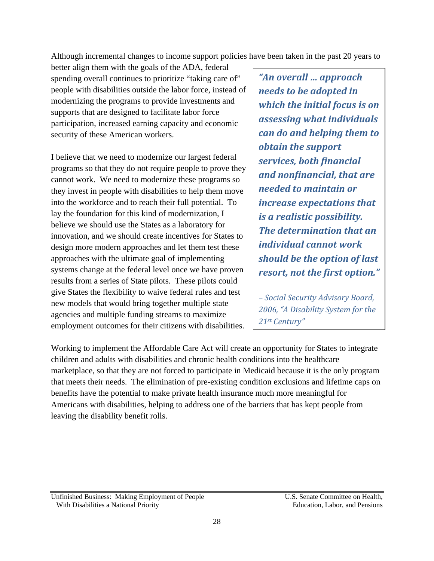Although incremental changes to income support policies have been taken in the past 20 years to

better align them with the goals of the ADA, federal spending overall continues to prioritize "taking care of" people with disabilities outside the labor force, instead of modernizing the programs to provide investments and supports that are designed to facilitate labor force participation, increased earning capacity and economic security of these American workers.

I believe that we need to modernize our largest federal programs so that they do not require people to prove they cannot work. We need to modernize these programs so they invest in people with disabilities to help them move into the workforce and to reach their full potential. To lay the foundation for this kind of modernization, I believe we should use the States as a laboratory for innovation, and we should create incentives for States to design more modern approaches and let them test these approaches with the ultimate goal of implementing systems change at the federal level once we have proven results from a series of State pilots. These pilots could give States the flexibility to waive federal rules and test new models that would bring together multiple state agencies and multiple funding streams to maximize employment outcomes for their citizens with disabilities.

*"An overall … approach needs to be adopted in which the initial focus is on assessing what individuals can do and helping them to obtain the support services, both financial and nonfinancial, that are needed to maintain or increase expectations that is a realistic possibility. The determination that an individual cannot work should be the option of last resort, not the first option."*

*– Social Security Advisory Board, 2006, "A Disability System for the 21st Century"* 

Working to implement the Affordable Care Act will create an opportunity for States to integrate children and adults with disabilities and chronic health conditions into the healthcare marketplace, so that they are not forced to participate in Medicaid because it is the only program that meets their needs. The elimination of pre-existing condition exclusions and lifetime caps on benefits have the potential to make private health insurance much more meaningful for Americans with disabilities, helping to address one of the barriers that has kept people from leaving the disability benefit rolls.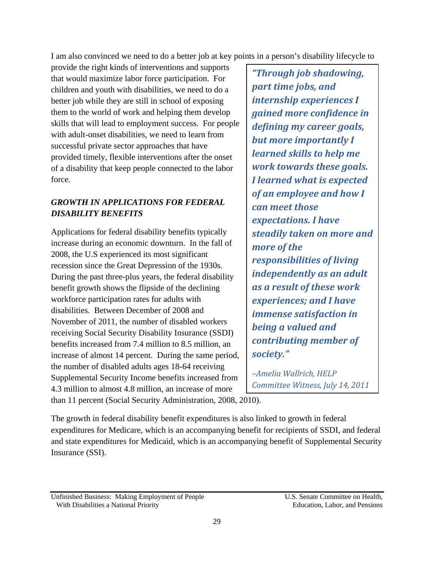I am also convinced we need to do a better job at key points in a person's disability lifecycle to

provide the right kinds of interventions and supports that would maximize labor force participation. For children and youth with disabilities, we need to do a better job while they are still in school of exposing them to the world of work and helping them develop skills that will lead to employment success. For people with adult-onset disabilities, we need to learn from successful private sector approaches that have provided timely, flexible interventions after the onset of a disability that keep people connected to the labor force.

## *GROWTH IN APPLICATIONS FOR FEDERAL DISABILITY BENEFITS*

Applications for federal disability benefits typically increase during an economic downturn. In the fall of 2008, the U.S experienced its most significant recession since the Great Depression of the 1930s. During the past three-plus years, the federal disability benefit growth shows the flipside of the declining workforce participation rates for adults with disabilities. Between December of 2008 and November of 2011, the number of disabled workers receiving Social Security Disability Insurance (SSDI) benefits increased from 7.4 million to 8.5 million, an increase of almost 14 percent. During the same period, the number of disabled adults ages 18-64 receiving Supplemental Security Income benefits increased from 4.3 million to almost 4.8 million, an increase of more than 11 percent (Social Security Administration, 2008, 2010).

*"Through job shadowing, part time jobs, and internship experiences I gained more confidence in defining my career goals, but more importantly I learned skills to help me work towards these goals. I learned what is expected of an employee and how I can meet those expectations. I have steadily taken on more and more of the responsibilities of living independently as an adult as a result of these work experiences; and I have immense satisfaction in being a valued and contributing member of society."*

*–Amelia Wallrich, HELP Committee Witness, July 14, 2011*

The growth in federal disability benefit expenditures is also linked to growth in federal expenditures for Medicare, which is an accompanying benefit for recipients of SSDI, and federal and state expenditures for Medicaid, which is an accompanying benefit of Supplemental Security Insurance (SSI).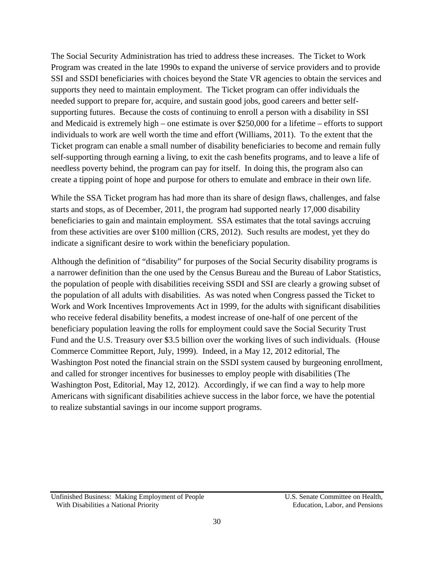The Social Security Administration has tried to address these increases. The Ticket to Work Program was created in the late 1990s to expand the universe of service providers and to provide SSI and SSDI beneficiaries with choices beyond the State VR agencies to obtain the services and supports they need to maintain employment. The Ticket program can offer individuals the needed support to prepare for, acquire, and sustain good jobs, good careers and better selfsupporting futures. Because the costs of continuing to enroll a person with a disability in SSI and Medicaid is extremely high – one estimate is over \$250,000 for a lifetime – efforts to support individuals to work are well worth the time and effort (Williams, 2011). To the extent that the Ticket program can enable a small number of disability beneficiaries to become and remain fully self-supporting through earning a living, to exit the cash benefits programs, and to leave a life of needless poverty behind, the program can pay for itself. In doing this, the program also can create a tipping point of hope and purpose for others to emulate and embrace in their own life.

While the SSA Ticket program has had more than its share of design flaws, challenges, and false starts and stops, as of December, 2011, the program had supported nearly 17,000 disability beneficiaries to gain and maintain employment. SSA estimates that the total savings accruing from these activities are over \$100 million (CRS, 2012). Such results are modest, yet they do indicate a significant desire to work within the beneficiary population.

Although the definition of "disability" for purposes of the Social Security disability programs is a narrower definition than the one used by the Census Bureau and the Bureau of Labor Statistics, the population of people with disabilities receiving SSDI and SSI are clearly a growing subset of the population of all adults with disabilities. As was noted when Congress passed the Ticket to Work and Work Incentives Improvements Act in 1999, for the adults with significant disabilities who receive federal disability benefits, a modest increase of one-half of one percent of the beneficiary population leaving the rolls for employment could save the Social Security Trust Fund and the U.S. Treasury over \$3.5 billion over the working lives of such individuals. (House Commerce Committee Report, July, 1999). Indeed, in a May 12, 2012 editorial, The Washington Post noted the financial strain on the SSDI system caused by burgeoning enrollment, and called for stronger incentives for businesses to employ people with disabilities (The Washington Post, Editorial, May 12, 2012). Accordingly, if we can find a way to help more Americans with significant disabilities achieve success in the labor force, we have the potential to realize substantial savings in our income support programs.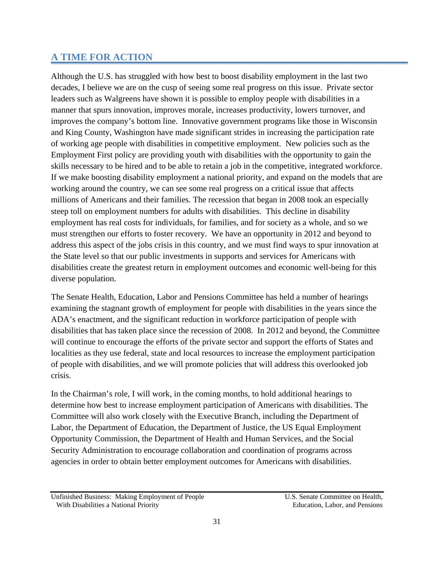## **A TIME FOR ACTION**

Although the U.S. has struggled with how best to boost disability employment in the last two decades, I believe we are on the cusp of seeing some real progress on this issue. Private sector leaders such as Walgreens have shown it is possible to employ people with disabilities in a manner that spurs innovation, improves morale, increases productivity, lowers turnover, and improves the company's bottom line. Innovative government programs like those in Wisconsin and King County, Washington have made significant strides in increasing the participation rate of working age people with disabilities in competitive employment. New policies such as the Employment First policy are providing youth with disabilities with the opportunity to gain the skills necessary to be hired and to be able to retain a job in the competitive, integrated workforce. If we make boosting disability employment a national priority, and expand on the models that are working around the country, we can see some real progress on a critical issue that affects millions of Americans and their families. The recession that began in 2008 took an especially steep toll on employment numbers for adults with disabilities. This decline in disability employment has real costs for individuals, for families, and for society as a whole, and so we must strengthen our efforts to foster recovery. We have an opportunity in 2012 and beyond to address this aspect of the jobs crisis in this country, and we must find ways to spur innovation at the State level so that our public investments in supports and services for Americans with disabilities create the greatest return in employment outcomes and economic well-being for this diverse population.

The Senate Health, Education, Labor and Pensions Committee has held a number of hearings examining the stagnant growth of employment for people with disabilities in the years since the ADA's enactment, and the significant reduction in workforce participation of people with disabilities that has taken place since the recession of 2008. In 2012 and beyond, the Committee will continue to encourage the efforts of the private sector and support the efforts of States and localities as they use federal, state and local resources to increase the employment participation of people with disabilities, and we will promote policies that will address this overlooked job crisis.

In the Chairman's role, I will work, in the coming months, to hold additional hearings to determine how best to increase employment participation of Americans with disabilities. The Committee will also work closely with the Executive Branch, including the Department of Labor, the Department of Education, the Department of Justice, the US Equal Employment Opportunity Commission, the Department of Health and Human Services, and the Social Security Administration to encourage collaboration and coordination of programs across agencies in order to obtain better employment outcomes for Americans with disabilities.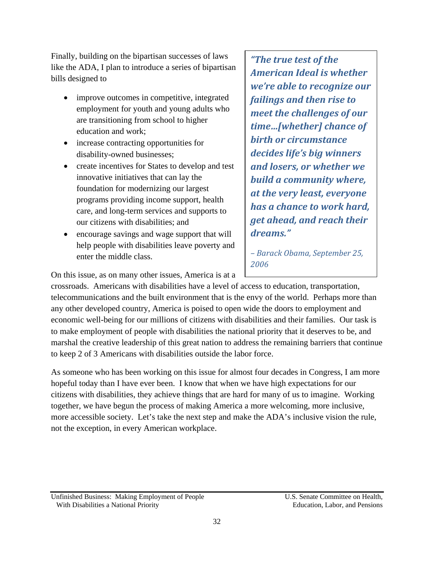Finally, building on the bipartisan successes of laws like the ADA, I plan to introduce a series of bipartisan bills designed to

- improve outcomes in competitive, integrated employment for youth and young adults who are transitioning from school to higher education and work;
- increase contracting opportunities for disability-owned businesses;
- create incentives for States to develop and test innovative initiatives that can lay the foundation for modernizing our largest programs providing income support, health care, and long-term services and supports to our citizens with disabilities; and
- encourage savings and wage support that will help people with disabilities leave poverty and enter the middle class.

*"The true test of the American Ideal is whether we're able to recognize our failings and then rise to meet the challenges of our time…[whether] chance of birth or circumstance decides life's big winners and losers, or whether we build a community where, at the very least, everyone has a chance to work hard, get ahead, and reach their* dreams."

*– Barack Obama, September 25, 2006*

On this issue, as on many other issues, America is at a

crossroads. Americans with disabilities have a level of access to education, transportation, telecommunications and the built environment that is the envy of the world. Perhaps more than any other developed country, America is poised to open wide the doors to employment and economic well-being for our millions of citizens with disabilities and their families. Our task is to make employment of people with disabilities the national priority that it deserves to be, and marshal the creative leadership of this great nation to address the remaining barriers that continue to keep 2 of 3 Americans with disabilities outside the labor force.

As someone who has been working on this issue for almost four decades in Congress, I am more hopeful today than I have ever been. I know that when we have high expectations for our citizens with disabilities, they achieve things that are hard for many of us to imagine. Working together, we have begun the process of making America a more welcoming, more inclusive, more accessible society. Let's take the next step and make the ADA's inclusive vision the rule, not the exception, in every American workplace.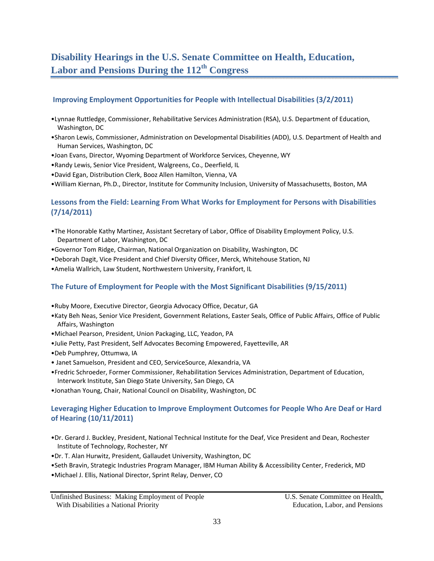# **Disability Hearings in the U.S. Senate Committee on Health, Education, Labor and Pensions During the 112th Congress**

#### **Improving Employment Opportunities for People with Intellectual Disabilities (3/2/2011)**

- •Lynnae Ruttledge, Commissioner, Rehabilitative Services Administration (RSA), U.S. Department of Education, Washington, DC
- •Sharon Lewis, Commissioner, Administration on Developmental Disabilities (ADD), U.S. Department of Health and Human Services, Washington, DC
- •Joan Evans, Director, Wyoming Department of Workforce Services, Cheyenne, WY
- •Randy Lewis, Senior Vice President, Walgreens, Co., Deerfield, IL
- •David Egan, Distribution Clerk, Booz Allen Hamilton, Vienna, VA
- •William Kiernan, Ph.D., Director, Institute for Community Inclusion, University of Massachusetts, Boston, MA

#### **Lessons from the Field: Learning From What Works for Employment for Persons with Disabilities (7/14/2011)**

- •The Honorable Kathy Martinez, Assistant Secretary of Labor, Office of Disability Employment Policy, U.S. Department of Labor, Washington, DC
- •Governor Tom Ridge, Chairman, National Organization on Disability, Washington, DC
- •Deborah Dagit, Vice President and Chief Diversity Officer, Merck, Whitehouse Station, NJ
- •Amelia Wallrich, Law Student, Northwestern University, Frankfort, IL

#### **The Future of Employment for People with the Most Significant Disabilities (9/15/2011)**

- •Ruby Moore, Executive Director, Georgia Advocacy Office, Decatur, GA
- •Katy Beh Neas, Senior Vice President, Government Relations, Easter Seals, Office of Public Affairs, Office of Public Affairs, Washington
- •Michael Pearson, President, Union Packaging, LLC, Yeadon, PA
- •Julie Petty, Past President, Self Advocates Becoming Empowered, Fayetteville, AR
- •Deb Pumphrey, Ottumwa, IA
- Janet Samuelson, President and CEO, ServiceSource, Alexandria, VA
- •Fredric Schroeder, Former Commissioner, Rehabilitation Services Administration, Department of Education, Interwork Institute, San Diego State University, San Diego, CA
- •Jonathan Young, Chair, National Council on Disability, Washington, DC

#### **Leveraging Higher Education to Improve Employment Outcomes for People Who Are Deaf or Hard of Hearing (10/11/2011)**

- •Dr. Gerard J. Buckley, President, National Technical Institute for the Deaf, Vice President and Dean, Rochester Institute of Technology, Rochester, NY
- •Dr. T. Alan Hurwitz, President, Gallaudet University, Washington, DC
- •Seth Bravin, Strategic Industries Program Manager, IBM Human Ability & Accessibility Center, Frederick, MD
- •Michael J. Ellis, National Director, Sprint Relay, Denver, CO

Unfinished Business: Making Employment of People U.S. Senate Committee on Health, With Disabilities a National Priority **Education** Education, Labor, and Pensions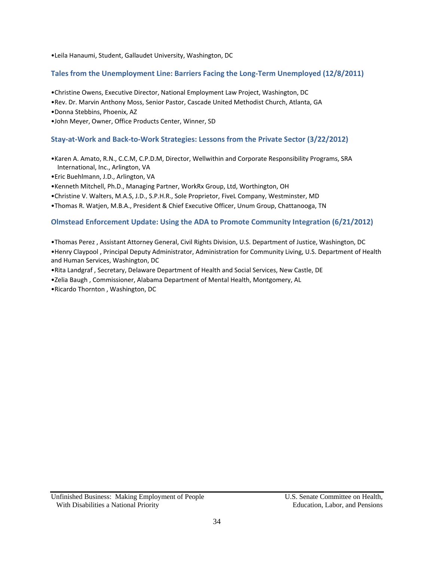•Leila Hanaumi, Student, Gallaudet University, Washington, DC

#### **Tales from the Unemployment Line: Barriers Facing the Long‐Term Unemployed (12/8/2011)**

- •Christine Owens, Executive Director, National Employment Law Project, Washington, DC
- •Rev. Dr. Marvin Anthony Moss, Senior Pastor, Cascade United Methodist Church, Atlanta, GA
- •Donna Stebbins, Phoenix, AZ
- •John Meyer, Owner, Office Products Center, Winner, SD

#### **Stay‐at‐Work and Back‐to‐Work Strategies: Lessons from the Private Sector (3/22/2012)**

- •Karen A. Amato, R.N., C.C.M, C.P.D.M, Director, Wellwithin and Corporate Responsibility Programs, SRA International, Inc., Arlington, VA
- •Eric Buehlmann, J.D., Arlington, VA
- •Kenneth Mitchell, Ph.D., Managing Partner, WorkRx Group, Ltd, Worthington, OH
- •Christine V. Walters, M.A.S, J.D., S.P.H.R., Sole Proprietor, FiveL Company, Westminster, MD
- •Thomas R. Watjen, M.B.A., President & Chief Executive Officer, Unum Group, Chattanooga, TN

#### **Olmstead Enforcement Update: Using the ADA to Promote Community Integration (6/21/2012)**

- •Thomas Perez , Assistant Attorney General, Civil Rights Division, U.S. Department of Justice, Washington, DC
- •Henry Claypool , Principal Deputy Administrator, Administration for Community Living, U.S. Department of Health and Human Services, Washington, DC
- •Rita Landgraf , Secretary, Delaware Department of Health and Social Services, New Castle, DE
- •Zelia Baugh , Commissioner, Alabama Department of Mental Health, Montgomery, AL
- •Ricardo Thornton , Washington, DC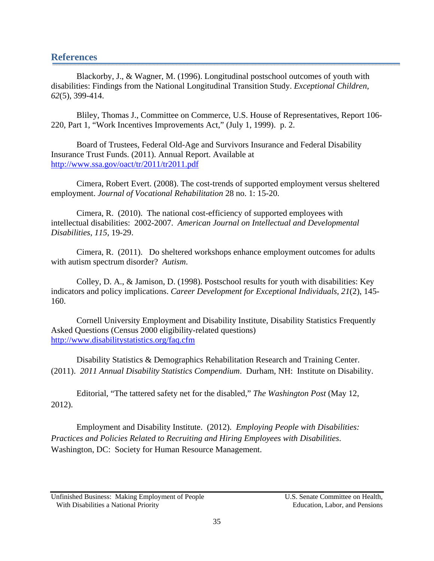#### **References**

Blackorby, J., & Wagner, M. (1996). Longitudinal postschool outcomes of youth with disabilities: Findings from the National Longitudinal Transition Study. *Exceptional Children, 62*(5), 399-414.

Bliley, Thomas J., Committee on Commerce, U.S. House of Representatives, Report 106- 220, Part 1, "Work Incentives Improvements Act," (July 1, 1999). p. 2.

Board of Trustees, Federal Old-Age and Survivors Insurance and Federal Disability Insurance Trust Funds. (2011). Annual Report. Available at http://www.ssa.gov/oact/tr/2011/tr2011.pdf

Cimera, Robert Evert. (2008). The cost-trends of supported employment versus sheltered employment. *Journal of Vocational Rehabilitation* 28 no. 1: 15-20.

Cimera, R. (2010). The national cost-efficiency of supported employees with intellectual disabilities: 2002-2007. *American Journal on Intellectual and Developmental Disabilities*, *115*, 19-29.

Cimera, R. (2011). Do sheltered workshops enhance employment outcomes for adults with autism spectrum disorder? *Autism*.

Colley, D. A., & Jamison, D. (1998). Postschool results for youth with disabilities: Key indicators and policy implications. *Career Development for Exceptional Individuals, 21*(2), 145- 160.

Cornell University Employment and Disability Institute, Disability Statistics Frequently Asked Questions (Census 2000 eligibility-related questions) http://www.disabilitystatistics.org/faq.cfm

Disability Statistics & Demographics Rehabilitation Research and Training Center. (2011). *2011 Annual Disability Statistics Compendium*. Durham, NH: Institute on Disability.

Editorial, "The tattered safety net for the disabled," *The Washington Post* (May 12, 2012).

Employment and Disability Institute. (2012). *Employing People with Disabilities: Practices and Policies Related to Recruiting and Hiring Employees with Disabilities*. Washington, DC: Society for Human Resource Management.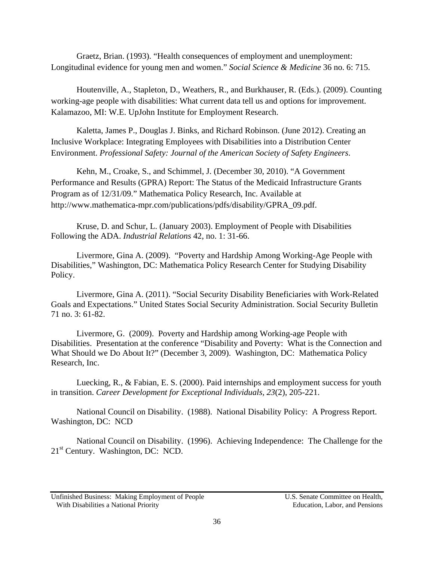Graetz, Brian. (1993). "Health consequences of employment and unemployment: Longitudinal evidence for young men and women." *Social Science & Medicine* 36 no. 6: 715.

Houtenville, A., Stapleton, D., Weathers, R., and Burkhauser, R. (Eds.). (2009). Counting working-age people with disabilities: What current data tell us and options for improvement. Kalamazoo, MI: W.E. UpJohn Institute for Employment Research.

Kaletta, James P., Douglas J. Binks, and Richard Robinson. (June 2012). Creating an Inclusive Workplace: Integrating Employees with Disabilities into a Distribution Center Environment. *Professional Safety: Journal of the American Society of Safety Engineers*.

Kehn, M., Croake, S., and Schimmel, J. (December 30, 2010). "A Government Performance and Results (GPRA) Report: The Status of the Medicaid Infrastructure Grants Program as of 12/31/09." Mathematica Policy Research, Inc. Available at http://www.mathematica-mpr.com/publications/pdfs/disability/GPRA\_09.pdf.

Kruse, D. and Schur, L. (January 2003). Employment of People with Disabilities Following the ADA. *Industrial Relations* 42, no. 1: 31-66.

Livermore, Gina A. (2009). "Poverty and Hardship Among Working-Age People with Disabilities," Washington, DC: Mathematica Policy Research Center for Studying Disability Policy.

Livermore, Gina A. (2011). "Social Security Disability Beneficiaries with Work-Related Goals and Expectations." United States Social Security Administration. Social Security Bulletin 71 no. 3: 61-82.

Livermore, G. (2009). Poverty and Hardship among Working-age People with Disabilities. Presentation at the conference "Disability and Poverty: What is the Connection and What Should we Do About It?" (December 3, 2009). Washington, DC: Mathematica Policy Research, Inc.

Luecking, R., & Fabian, E. S. (2000). Paid internships and employment success for youth in transition. *Career Development for Exceptional Individuals, 23*(2), 205-221.

National Council on Disability. (1988). National Disability Policy: A Progress Report. Washington, DC: NCD

National Council on Disability. (1996). Achieving Independence: The Challenge for the  $21<sup>st</sup>$  Century. Washington, DC: NCD.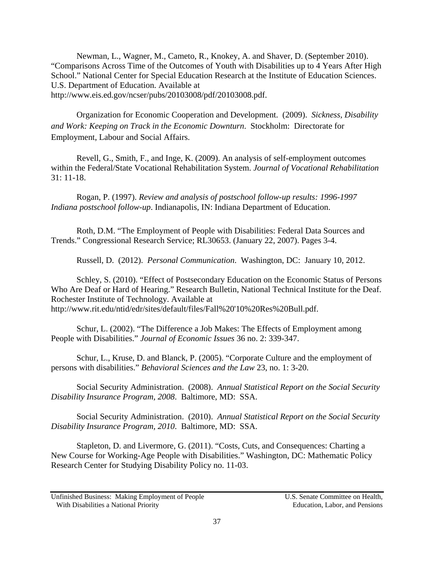Newman, L., Wagner, M., Cameto, R., Knokey, A. and Shaver, D. (September 2010). "Comparisons Across Time of the Outcomes of Youth with Disabilities up to 4 Years After High School." National Center for Special Education Research at the Institute of Education Sciences. U.S. Department of Education. Available at http://www.eis.ed.gov/ncser/pubs/20103008/pdf/20103008.pdf.

Organization for Economic Cooperation and Development. (2009). *Sickness, Disability and Work: Keeping on Track in the Economic Downturn*. Stockholm: Directorate for Employment, Labour and Social Affairs.

Revell, G., Smith, F., and Inge, K. (2009). An analysis of self-employment outcomes within the Federal/State Vocational Rehabilitation System. *Journal of Vocational Rehabilitation* 31: 11-18.

Rogan, P. (1997). *Review and analysis of postschool follow-up results: 1996-1997 Indiana postschool follow-up*. Indianapolis, IN: Indiana Department of Education.

Roth, D.M. "The Employment of People with Disabilities: Federal Data Sources and Trends." Congressional Research Service; RL30653. (January 22, 2007). Pages 3-4.

Russell, D. (2012). *Personal Communication*. Washington, DC: January 10, 2012.

Schley, S. (2010). "Effect of Postsecondary Education on the Economic Status of Persons Who Are Deaf or Hard of Hearing." Research Bulletin, National Technical Institute for the Deaf. Rochester Institute of Technology. Available at http://www.rit.edu/ntid/edr/sites/default/files/Fall%20'10%20Res%20Bull.pdf.

Schur, L. (2002). "The Difference a Job Makes: The Effects of Employment among People with Disabilities." *Journal of Economic Issues* 36 no. 2: 339-347.

Schur, L., Kruse, D. and Blanck, P. (2005). "Corporate Culture and the employment of persons with disabilities." *Behavioral Sciences and the Law* 23, no. 1: 3-20.

Social Security Administration. (2008). *Annual Statistical Report on the Social Security Disability Insurance Program, 2008*. Baltimore, MD: SSA.

Social Security Administration. (2010). *Annual Statistical Report on the Social Security Disability Insurance Program, 2010*. Baltimore, MD: SSA.

Stapleton, D. and Livermore, G. (2011). "Costs, Cuts, and Consequences: Charting a New Course for Working-Age People with Disabilities." Washington, DC: Mathematic Policy Research Center for Studying Disability Policy no. 11-03.

Unfinished Business: Making Employment of People U.S. Senate Committee on Health, With Disabilities a National Priority **Education** Education, Labor, and Pensions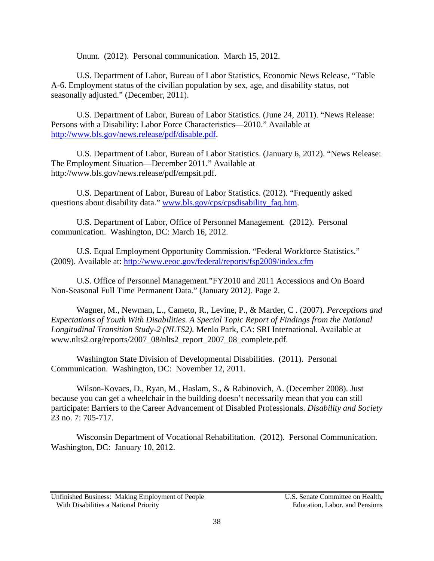Unum. (2012). Personal communication. March 15, 2012.

U.S. Department of Labor, Bureau of Labor Statistics, Economic News Release, "Table A-6. Employment status of the civilian population by sex, age, and disability status, not seasonally adjusted." (December, 2011).

U.S. Department of Labor, Bureau of Labor Statistics. (June 24, 2011). "News Release: Persons with a Disability: Labor Force Characteristics—2010." Available at http://www.bls.gov/news.release/pdf/disable.pdf.

U.S. Department of Labor, Bureau of Labor Statistics. (January 6, 2012). "News Release: The Employment Situation—December 2011." Available at http://www.bls.gov/news.release/pdf/empsit.pdf.

U.S. Department of Labor, Bureau of Labor Statistics. (2012). "Frequently asked questions about disability data." www.bls.gov/cps/cpsdisability\_faq.htm.

U.S. Department of Labor, Office of Personnel Management. (2012). Personal communication. Washington, DC: March 16, 2012.

U.S. Equal Employment Opportunity Commission. "Federal Workforce Statistics." (2009). Available at: http://www.eeoc.gov/federal/reports/fsp2009/index.cfm

U.S. Office of Personnel Management."FY2010 and 2011 Accessions and On Board Non-Seasonal Full Time Permanent Data." (January 2012). Page 2.

Wagner, M., Newman, L., Cameto, R., Levine, P., & Marder, C . (2007). *Perceptions and Expectations of Youth With Disabilities. A Special Topic Report of Findings from the National Longitudinal Transition Study-2 (NLTS2).* Menlo Park, CA: SRI International. Available at www.nlts2.org/reports/2007\_08/nlts2\_report\_2007\_08\_complete.pdf.

Washington State Division of Developmental Disabilities. (2011). Personal Communication. Washington, DC: November 12, 2011.

Wilson-Kovacs, D., Ryan, M., Haslam, S., & Rabinovich, A. (December 2008). Just because you can get a wheelchair in the building doesn't necessarily mean that you can still participate: Barriers to the Career Advancement of Disabled Professionals. *Disability and Society* 23 no. 7: 705-717.

Wisconsin Department of Vocational Rehabilitation. (2012). Personal Communication. Washington, DC: January 10, 2012.